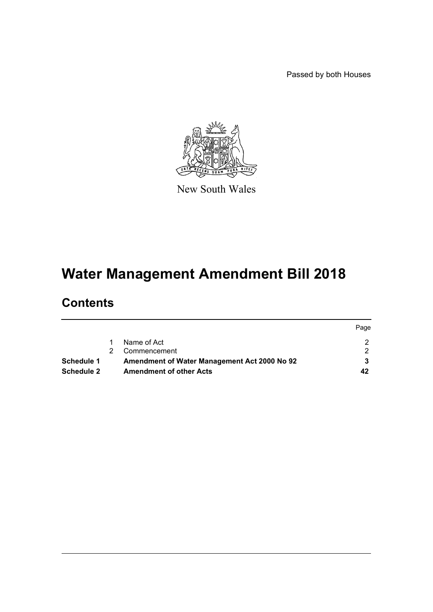Passed by both Houses



New South Wales

# **Water Management Amendment Bill 2018**

# **Contents**

|                   |                                              | Page |
|-------------------|----------------------------------------------|------|
|                   | Name of Act                                  |      |
|                   | Commencement                                 |      |
| <b>Schedule 1</b> | Amendment of Water Management Act 2000 No 92 |      |
| Schedule 2        | <b>Amendment of other Acts</b>               | 42   |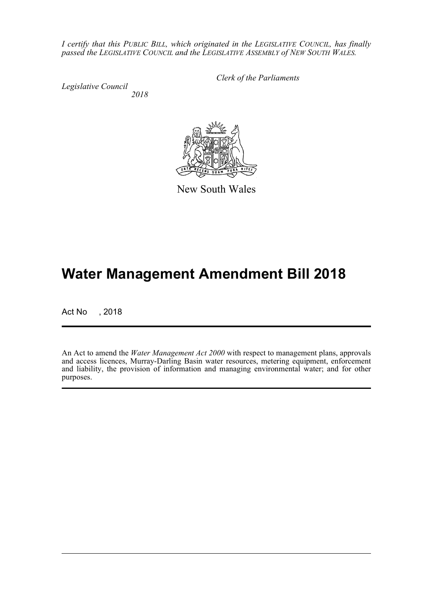*I certify that this PUBLIC BILL, which originated in the LEGISLATIVE COUNCIL, has finally passed the LEGISLATIVE COUNCIL and the LEGISLATIVE ASSEMBLY of NEW SOUTH WALES.*

*Legislative Council 2018* *Clerk of the Parliaments*

New South Wales

# **Water Management Amendment Bill 2018**

Act No , 2018

An Act to amend the *Water Management Act 2000* with respect to management plans, approvals and access licences, Murray-Darling Basin water resources, metering equipment, enforcement and liability, the provision of information and managing environmental water; and for other purposes.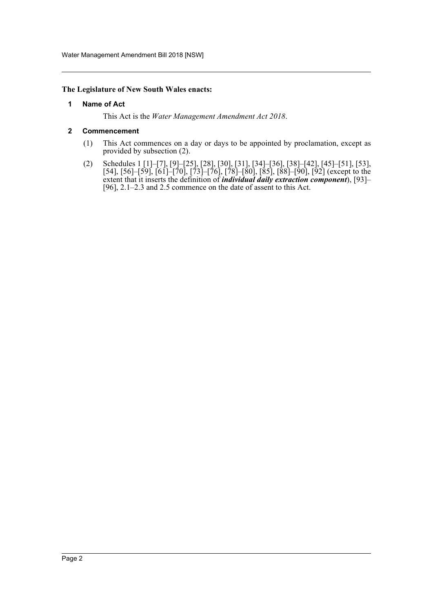#### <span id="page-2-0"></span>**The Legislature of New South Wales enacts:**

#### **1 Name of Act**

This Act is the *Water Management Amendment Act 2018*.

#### <span id="page-2-1"></span>**2 Commencement**

- (1) This Act commences on a day or days to be appointed by proclamation, except as provided by subsection (2).
- (2) Schedules 1 [1]–[7], [9]–[25], [28], [30], [31], [34]–[36], [38]–[42], [45]–[51], [53], [54], [56]–[59], [61]–[70], [73]–[76], [78]–[80], [85], [88]–[90], [92] (except to the extent that it inserts the definition of *individual daily extraction component*), [93]– [96], 2.1–2.3 and 2.5 commence on the date of assent to this Act.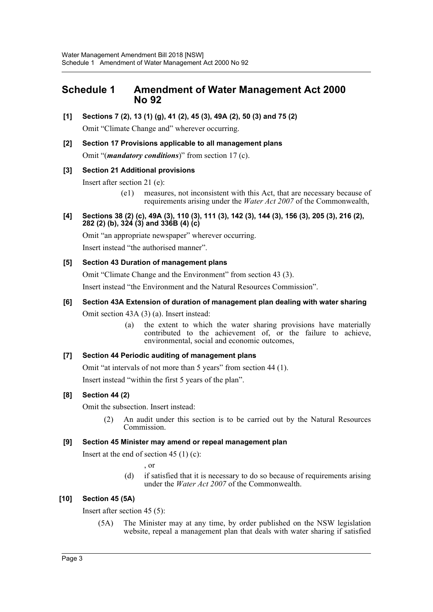# <span id="page-3-0"></span>**Schedule 1 Amendment of Water Management Act 2000 No 92**

**[1] Sections 7 (2), 13 (1) (g), 41 (2), 45 (3), 49A (2), 50 (3) and 75 (2)**

Omit "Climate Change and" wherever occurring.

**[2] Section 17 Provisions applicable to all management plans** Omit "(*mandatory conditions*)" from section 17 (c).

### **[3] Section 21 Additional provisions**

Insert after section 21 (e):

- (e1) measures, not inconsistent with this Act, that are necessary because of requirements arising under the *Water Act 2007* of the Commonwealth,
- **[4] Sections 38 (2) (c), 49A (3), 110 (3), 111 (3), 142 (3), 144 (3), 156 (3), 205 (3), 216 (2), 282 (2) (b), 324 (3) and 336B (4) (c)**

Omit "an appropriate newspaper" wherever occurring.

Insert instead "the authorised manner".

#### **[5] Section 43 Duration of management plans**

Omit "Climate Change and the Environment" from section 43 (3).

Insert instead "the Environment and the Natural Resources Commission".

#### **[6] Section 43A Extension of duration of management plan dealing with water sharing**

Omit section 43A (3) (a). Insert instead:

(a) the extent to which the water sharing provisions have materially contributed to the achievement of, or the failure to achieve, environmental, social and economic outcomes,

#### **[7] Section 44 Periodic auditing of management plans**

Omit "at intervals of not more than 5 years" from section 44 (1).

Insert instead "within the first 5 years of the plan".

#### **[8] Section 44 (2)**

Omit the subsection. Insert instead:

(2) An audit under this section is to be carried out by the Natural Resources Commission.

#### **[9] Section 45 Minister may amend or repeal management plan**

Insert at the end of section 45  $(1)$  (c):

, or

(d) if satisfied that it is necessary to do so because of requirements arising under the *Water Act 2007* of the Commonwealth.

#### **[10] Section 45 (5A)**

Insert after section 45 (5):

(5A) The Minister may at any time, by order published on the NSW legislation website, repeal a management plan that deals with water sharing if satisfied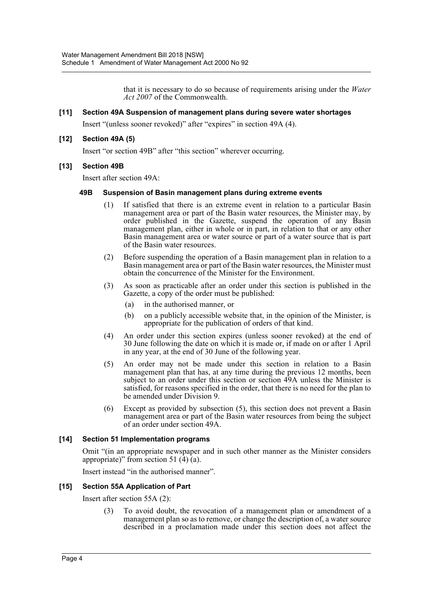that it is necessary to do so because of requirements arising under the *Water Act 2007* of the Commonwealth.

#### **[11] Section 49A Suspension of management plans during severe water shortages**

Insert "(unless sooner revoked)" after "expires" in section 49A (4).

#### **[12] Section 49A (5)**

Insert "or section 49B" after "this section" wherever occurring.

#### **[13] Section 49B**

Insert after section 49A:

#### **49B Suspension of Basin management plans during extreme events**

- (1) If satisfied that there is an extreme event in relation to a particular Basin management area or part of the Basin water resources, the Minister may, by order published in the Gazette, suspend the operation of any Basin management plan, either in whole or in part, in relation to that or any other Basin management area or water source or part of a water source that is part of the Basin water resources.
- (2) Before suspending the operation of a Basin management plan in relation to a Basin management area or part of the Basin water resources, the Minister must obtain the concurrence of the Minister for the Environment.
- (3) As soon as practicable after an order under this section is published in the Gazette, a copy of the order must be published:
	- (a) in the authorised manner, or
	- (b) on a publicly accessible website that, in the opinion of the Minister, is appropriate for the publication of orders of that kind.
- (4) An order under this section expires (unless sooner revoked) at the end of 30 June following the date on which it is made or, if made on or after 1 April in any year, at the end of 30 June of the following year.
- (5) An order may not be made under this section in relation to a Basin management plan that has, at any time during the previous 12 months, been subject to an order under this section or section 49A unless the Minister is satisfied, for reasons specified in the order, that there is no need for the plan to be amended under Division 9.
- (6) Except as provided by subsection (5), this section does not prevent a Basin management area or part of the Basin water resources from being the subject of an order under section 49A.

#### **[14] Section 51 Implementation programs**

Omit "(in an appropriate newspaper and in such other manner as the Minister considers appropriate)" from section 51  $(4)$   $(a)$ .

Insert instead "in the authorised manner".

#### **[15] Section 55A Application of Part**

Insert after section 55A (2):

(3) To avoid doubt, the revocation of a management plan or amendment of a management plan so as to remove, or change the description of, a water source described in a proclamation made under this section does not affect the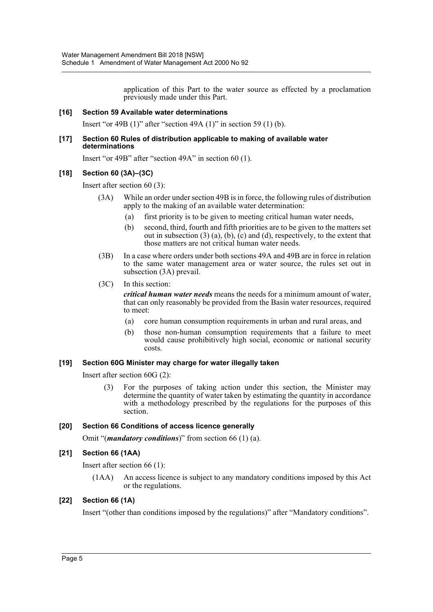application of this Part to the water source as effected by a proclamation previously made under this Part.

#### **[16] Section 59 Available water determinations**

Insert "or 49B (1)" after "section 49A (1)" in section 59 (1) (b).

#### **[17] Section 60 Rules of distribution applicable to making of available water determinations**

Insert "or 49B" after "section 49A" in section 60 (1).

#### **[18] Section 60 (3A)–(3C)**

Insert after section 60 (3):

- (3A) While an order under section 49B is in force, the following rules of distribution apply to the making of an available water determination:
	- (a) first priority is to be given to meeting critical human water needs,
	- (b) second, third, fourth and fifth priorities are to be given to the matters set out in subsection  $(3)$  (a), (b), (c) and (d), respectively, to the extent that those matters are not critical human water needs.
- (3B) In a case where orders under both sections 49A and 49B are in force in relation to the same water management area or water source, the rules set out in subsection (3A) prevail.
- (3C) In this section:

*critical human water needs* means the needs for a minimum amount of water, that can only reasonably be provided from the Basin water resources, required to meet:

- (a) core human consumption requirements in urban and rural areas, and
- (b) those non-human consumption requirements that a failure to meet would cause prohibitively high social, economic or national security costs.

#### **[19] Section 60G Minister may charge for water illegally taken**

Insert after section 60G (2):

(3) For the purposes of taking action under this section, the Minister may determine the quantity of water taken by estimating the quantity in accordance with a methodology prescribed by the regulations for the purposes of this section.

#### **[20] Section 66 Conditions of access licence generally**

Omit "(*mandatory conditions*)" from section 66 (1) (a).

#### **[21] Section 66 (1AA)**

Insert after section 66 (1):

(1AA) An access licence is subject to any mandatory conditions imposed by this Act or the regulations.

#### **[22] Section 66 (1A)**

Insert "(other than conditions imposed by the regulations)" after "Mandatory conditions".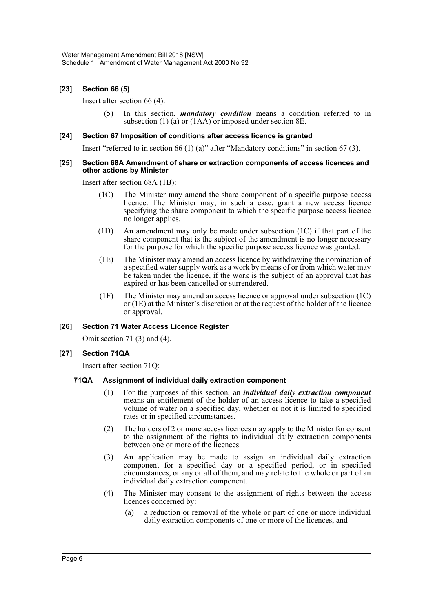#### **[23] Section 66 (5)**

Insert after section 66 (4):

(5) In this section, *mandatory condition* means a condition referred to in subsection (1) (a) or (1AA) or imposed under section 8E.

#### **[24] Section 67 Imposition of conditions after access licence is granted**

Insert "referred to in section 66 (1) (a)" after "Mandatory conditions" in section 67 (3).

#### **[25] Section 68A Amendment of share or extraction components of access licences and other actions by Minister**

Insert after section 68A (1B):

- (1C) The Minister may amend the share component of a specific purpose access licence. The Minister may, in such a case, grant a new access licence specifying the share component to which the specific purpose access licence no longer applies.
- (1D) An amendment may only be made under subsection (1C) if that part of the share component that is the subject of the amendment is no longer necessary for the purpose for which the specific purpose access licence was granted.
- (1E) The Minister may amend an access licence by withdrawing the nomination of a specified water supply work as a work by means of or from which water may be taken under the licence, if the work is the subject of an approval that has expired or has been cancelled or surrendered.
- (1F) The Minister may amend an access licence or approval under subsection (1C) or (1E) at the Minister's discretion or at the request of the holder of the licence or approval.

#### **[26] Section 71 Water Access Licence Register**

Omit section 71 (3) and (4).

#### **[27] Section 71QA**

Insert after section 71Q:

#### **71QA Assignment of individual daily extraction component**

- (1) For the purposes of this section, an *individual daily extraction component* means an entitlement of the holder of an access licence to take a specified volume of water on a specified day, whether or not it is limited to specified rates or in specified circumstances.
- (2) The holders of 2 or more access licences may apply to the Minister for consent to the assignment of the rights to individual daily extraction components between one or more of the licences.
- (3) An application may be made to assign an individual daily extraction component for a specified day or a specified period, or in specified circumstances, or any or all of them, and may relate to the whole or part of an individual daily extraction component.
- (4) The Minister may consent to the assignment of rights between the access licences concerned by:
	- (a) a reduction or removal of the whole or part of one or more individual daily extraction components of one or more of the licences, and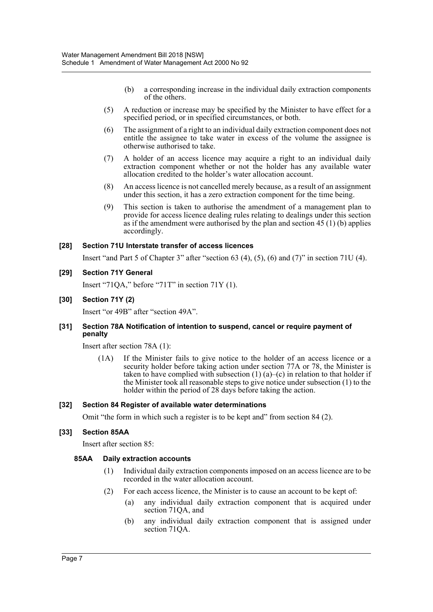- (b) a corresponding increase in the individual daily extraction components of the others.
- (5) A reduction or increase may be specified by the Minister to have effect for a specified period, or in specified circumstances, or both.
- (6) The assignment of a right to an individual daily extraction component does not entitle the assignee to take water in excess of the volume the assignee is otherwise authorised to take.
- (7) A holder of an access licence may acquire a right to an individual daily extraction component whether or not the holder has any available water allocation credited to the holder's water allocation account.
- (8) An access licence is not cancelled merely because, as a result of an assignment under this section, it has a zero extraction component for the time being.
- (9) This section is taken to authorise the amendment of a management plan to provide for access licence dealing rules relating to dealings under this section as if the amendment were authorised by the plan and section  $45(1)(b)$  applies accordingly.

#### **[28] Section 71U Interstate transfer of access licences**

Insert "and Part 5 of Chapter 3" after "section 63 (4), (5), (6) and (7)" in section 71U (4).

#### **[29] Section 71Y General**

Insert "71QA," before "71T" in section 71Y (1).

#### **[30] Section 71Y (2)**

Insert "or 49B" after "section 49A".

#### **[31] Section 78A Notification of intention to suspend, cancel or require payment of penalty**

Insert after section 78A (1):

(1A) If the Minister fails to give notice to the holder of an access licence or a security holder before taking action under section 77A or 78, the Minister is taken to have complied with subsection  $(1)$   $(a)$ – $(c)$  in relation to that holder if the Minister took all reasonable steps to give notice under subsection (1) to the holder within the period of 28 days before taking the action.

#### **[32] Section 84 Register of available water determinations**

Omit "the form in which such a register is to be kept and" from section 84 (2).

#### **[33] Section 85AA**

Insert after section 85:

#### **85AA Daily extraction accounts**

- (1) Individual daily extraction components imposed on an access licence are to be recorded in the water allocation account.
- (2) For each access licence, the Minister is to cause an account to be kept of:
	- (a) any individual daily extraction component that is acquired under section 71QA, and
	- (b) any individual daily extraction component that is assigned under section 71QA.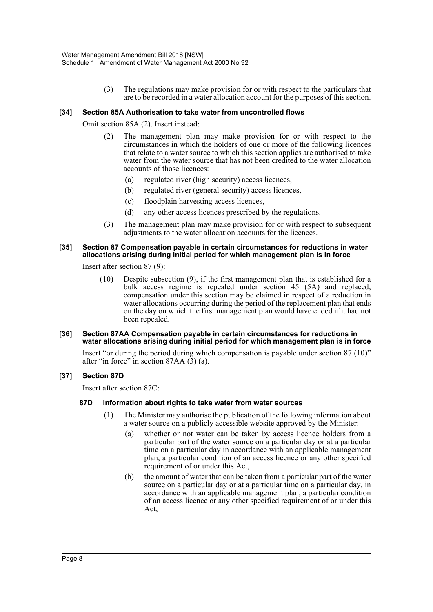(3) The regulations may make provision for or with respect to the particulars that are to be recorded in a water allocation account for the purposes of this section.

#### **[34] Section 85A Authorisation to take water from uncontrolled flows**

Omit section 85A (2). Insert instead:

- (2) The management plan may make provision for or with respect to the circumstances in which the holders of one or more of the following licences that relate to a water source to which this section applies are authorised to take water from the water source that has not been credited to the water allocation accounts of those licences:
	- (a) regulated river (high security) access licences,
	- (b) regulated river (general security) access licences,
	- (c) floodplain harvesting access licences,
	- (d) any other access licences prescribed by the regulations.
- (3) The management plan may make provision for or with respect to subsequent adjustments to the water allocation accounts for the licences.

#### **[35] Section 87 Compensation payable in certain circumstances for reductions in water allocations arising during initial period for which management plan is in force**

Insert after section 87 (9):

(10) Despite subsection (9), if the first management plan that is established for a bulk access regime is repealed under section 45 (5A) and replaced, compensation under this section may be claimed in respect of a reduction in water allocations occurring during the period of the replacement plan that ends on the day on which the first management plan would have ended if it had not been repealed.

#### **[36] Section 87AA Compensation payable in certain circumstances for reductions in water allocations arising during initial period for which management plan is in force**

Insert "or during the period during which compensation is payable under section 87 (10)" after "in force" in section  $87AA$   $(3)$   $(a)$ .

#### **[37] Section 87D**

Insert after section 87C:

#### **87D Information about rights to take water from water sources**

- (1) The Minister may authorise the publication of the following information about a water source on a publicly accessible website approved by the Minister:
	- (a) whether or not water can be taken by access licence holders from a particular part of the water source on a particular day or at a particular time on a particular day in accordance with an applicable management plan, a particular condition of an access licence or any other specified requirement of or under this Act,
	- (b) the amount of water that can be taken from a particular part of the water source on a particular day or at a particular time on a particular day, in accordance with an applicable management plan, a particular condition of an access licence or any other specified requirement of or under this Act,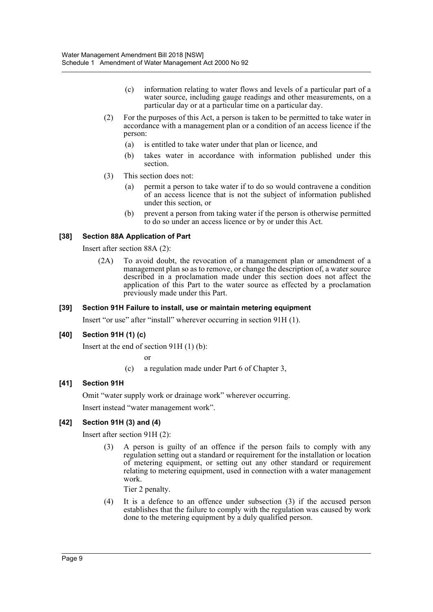- (c) information relating to water flows and levels of a particular part of a water source, including gauge readings and other measurements, on a particular day or at a particular time on a particular day.
- (2) For the purposes of this Act, a person is taken to be permitted to take water in accordance with a management plan or a condition of an access licence if the person:
	- (a) is entitled to take water under that plan or licence, and
	- (b) takes water in accordance with information published under this section.
- (3) This section does not:
	- (a) permit a person to take water if to do so would contravene a condition of an access licence that is not the subject of information published under this section, or
	- (b) prevent a person from taking water if the person is otherwise permitted to do so under an access licence or by or under this Act.

#### **[38] Section 88A Application of Part**

Insert after section 88A (2):

(2A) To avoid doubt, the revocation of a management plan or amendment of a management plan so as to remove, or change the description of, a water source described in a proclamation made under this section does not affect the application of this Part to the water source as effected by a proclamation previously made under this Part.

#### **[39] Section 91H Failure to install, use or maintain metering equipment**

Insert "or use" after "install" wherever occurring in section 91H (1).

#### **[40] Section 91H (1) (c)**

Insert at the end of section 91H (1) (b):

or

(c) a regulation made under Part 6 of Chapter 3,

#### **[41] Section 91H**

Omit "water supply work or drainage work" wherever occurring.

Insert instead "water management work".

#### **[42] Section 91H (3) and (4)**

Insert after section 91H (2):

(3) A person is guilty of an offence if the person fails to comply with any regulation setting out a standard or requirement for the installation or location of metering equipment, or setting out any other standard or requirement relating to metering equipment, used in connection with a water management work.

Tier 2 penalty.

(4) It is a defence to an offence under subsection (3) if the accused person establishes that the failure to comply with the regulation was caused by work done to the metering equipment by a duly qualified person.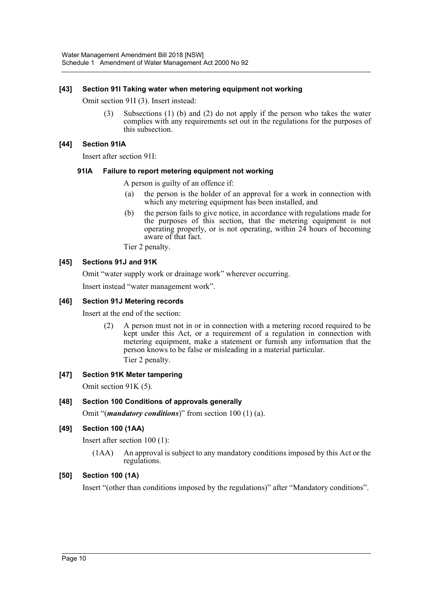#### **[43] Section 91I Taking water when metering equipment not working**

Omit section 91I (3). Insert instead:

(3) Subsections (1) (b) and (2) do not apply if the person who takes the water complies with any requirements set out in the regulations for the purposes of this subsection.

#### **[44] Section 91IA**

Insert after section 91I:

#### **91IA Failure to report metering equipment not working**

A person is guilty of an offence if:

- (a) the person is the holder of an approval for a work in connection with which any metering equipment has been installed, and
- (b) the person fails to give notice, in accordance with regulations made for the purposes of this section, that the metering equipment is not operating properly, or is not operating, within 24 hours of becoming aware of that fact.

Tier 2 penalty.

#### **[45] Sections 91J and 91K**

Omit "water supply work or drainage work" wherever occurring.

Insert instead "water management work".

#### **[46] Section 91J Metering records**

Insert at the end of the section:

(2) A person must not in or in connection with a metering record required to be kept under this Act, or a requirement of a regulation in connection with metering equipment, make a statement or furnish any information that the person knows to be false or misleading in a material particular. Tier 2 penalty.

#### **[47] Section 91K Meter tampering**

Omit section 91K (5).

#### **[48] Section 100 Conditions of approvals generally**

Omit "(*mandatory conditions*)" from section 100 (1) (a).

#### **[49] Section 100 (1AA)**

Insert after section 100 (1):

(1AA) An approval is subject to any mandatory conditions imposed by this Act or the regulations.

#### **[50] Section 100 (1A)**

Insert "(other than conditions imposed by the regulations)" after "Mandatory conditions".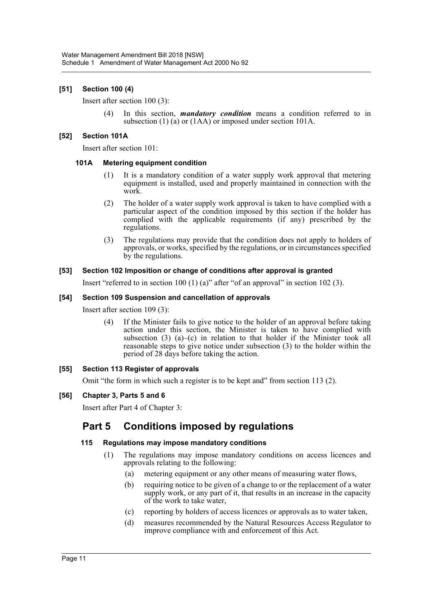#### **[51] Section 100 (4)**

Insert after section 100 (3):

(4) In this section, *mandatory condition* means a condition referred to in subsection (1) (a) or (1AA) or imposed under section 101A.

#### **[52] Section 101A**

Insert after section 101:

#### **101A Metering equipment condition**

- (1) It is a mandatory condition of a water supply work approval that metering equipment is installed, used and properly maintained in connection with the work.
- (2) The holder of a water supply work approval is taken to have complied with a particular aspect of the condition imposed by this section if the holder has complied with the applicable requirements (if any) prescribed by the regulations.
- (3) The regulations may provide that the condition does not apply to holders of approvals, or works, specified by the regulations, or in circumstances specified by the regulations.

#### **[53] Section 102 Imposition or change of conditions after approval is granted**

Insert "referred to in section 100 (1) (a)" after "of an approval" in section 102 (3).

#### **[54] Section 109 Suspension and cancellation of approvals**

Insert after section 109 (3):

(4) If the Minister fails to give notice to the holder of an approval before taking action under this section, the Minister is taken to have complied with subsection  $(3)$   $(a)$ – $(c)$  in relation to that holder if the Minister took all reasonable steps to give notice under subsection (3) to the holder within the period of 28 days before taking the action.

#### **[55] Section 113 Register of approvals**

Omit "the form in which such a register is to be kept and" from section 113 (2).

#### **[56] Chapter 3, Parts 5 and 6**

Insert after Part 4 of Chapter 3:

# **Part 5 Conditions imposed by regulations**

#### **115 Regulations may impose mandatory conditions**

- (1) The regulations may impose mandatory conditions on access licences and approvals relating to the following:
	- (a) metering equipment or any other means of measuring water flows,
	- (b) requiring notice to be given of a change to or the replacement of a water supply work, or any part of it, that results in an increase in the capacity of the work to take water,
	- (c) reporting by holders of access licences or approvals as to water taken,
	- (d) measures recommended by the Natural Resources Access Regulator to improve compliance with and enforcement of this Act.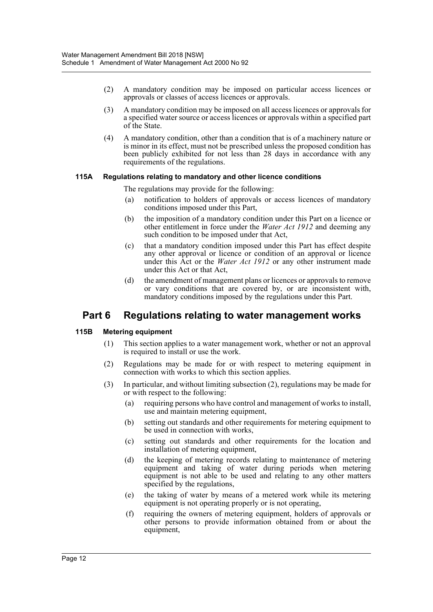- (2) A mandatory condition may be imposed on particular access licences or approvals or classes of access licences or approvals.
- (3) A mandatory condition may be imposed on all access licences or approvals for a specified water source or access licences or approvals within a specified part of the State.
- (4) A mandatory condition, other than a condition that is of a machinery nature or is minor in its effect, must not be prescribed unless the proposed condition has been publicly exhibited for not less than 28 days in accordance with any requirements of the regulations.

#### **115A Regulations relating to mandatory and other licence conditions**

- The regulations may provide for the following:
- (a) notification to holders of approvals or access licences of mandatory conditions imposed under this Part,
- (b) the imposition of a mandatory condition under this Part on a licence or other entitlement in force under the *Water Act 1912* and deeming any such condition to be imposed under that Act,
- (c) that a mandatory condition imposed under this Part has effect despite any other approval or licence or condition of an approval or licence under this Act or the *Water Act 1912* or any other instrument made under this Act or that Act,
- (d) the amendment of management plans or licences or approvals to remove or vary conditions that are covered by, or are inconsistent with, mandatory conditions imposed by the regulations under this Part.

# **Part 6 Regulations relating to water management works**

#### **115B Metering equipment**

- (1) This section applies to a water management work, whether or not an approval is required to install or use the work.
- (2) Regulations may be made for or with respect to metering equipment in connection with works to which this section applies.
- (3) In particular, and without limiting subsection (2), regulations may be made for or with respect to the following:
	- (a) requiring persons who have control and management of works to install, use and maintain metering equipment,
	- (b) setting out standards and other requirements for metering equipment to be used in connection with works,
	- (c) setting out standards and other requirements for the location and installation of metering equipment,
	- (d) the keeping of metering records relating to maintenance of metering equipment and taking of water during periods when metering equipment is not able to be used and relating to any other matters specified by the regulations,
	- (e) the taking of water by means of a metered work while its metering equipment is not operating properly or is not operating,
	- (f) requiring the owners of metering equipment, holders of approvals or other persons to provide information obtained from or about the equipment,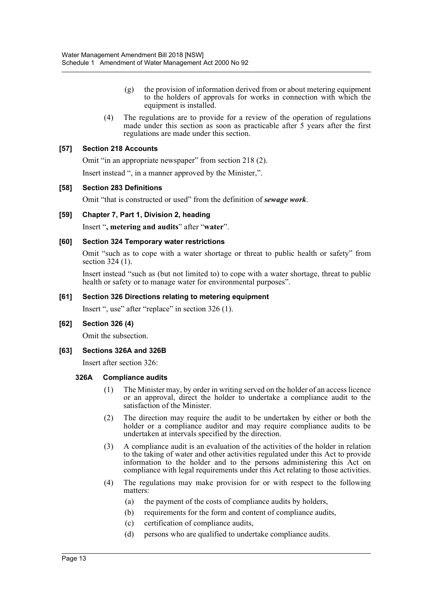- (g) the provision of information derived from or about metering equipment to the holders of approvals for works in connection with which the equipment is installed.
- (4) The regulations are to provide for a review of the operation of regulations made under this section as soon as practicable after 5 years after the first regulations are made under this section.

#### **[57] Section 218 Accounts**

Omit "in an appropriate newspaper" from section 218 (2).

Insert instead ", in a manner approved by the Minister,".

#### **[58] Section 283 Definitions**

Omit "that is constructed or used" from the definition of *sewage work*.

#### **[59] Chapter 7, Part 1, Division 2, heading**

Insert "**, metering and audits**" after "**water**".

#### **[60] Section 324 Temporary water restrictions**

Omit "such as to cope with a water shortage or threat to public health or safety" from section 324 (1).

Insert instead "such as (but not limited to) to cope with a water shortage, threat to public health or safety or to manage water for environmental purposes".

#### **[61] Section 326 Directions relating to metering equipment**

Insert ", use" after "replace" in section 326 (1).

#### **[62] Section 326 (4)**

Omit the subsection.

#### **[63] Sections 326A and 326B**

Insert after section 326:

#### **326A Compliance audits**

- (1) The Minister may, by order in writing served on the holder of an access licence or an approval, direct the holder to undertake a compliance audit to the satisfaction of the Minister.
- (2) The direction may require the audit to be undertaken by either or both the holder or a compliance auditor and may require compliance audits to be undertaken at intervals specified by the direction.
- (3) A compliance audit is an evaluation of the activities of the holder in relation to the taking of water and other activities regulated under this Act to provide information to the holder and to the persons administering this Act on compliance with legal requirements under this Act relating to those activities.
- (4) The regulations may make provision for or with respect to the following matters:
	- (a) the payment of the costs of compliance audits by holders,
	- (b) requirements for the form and content of compliance audits,
	- (c) certification of compliance audits,
	- (d) persons who are qualified to undertake compliance audits.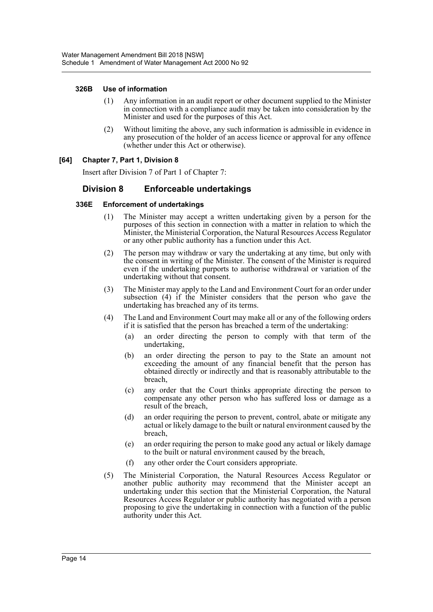#### **326B Use of information**

- (1) Any information in an audit report or other document supplied to the Minister in connection with a compliance audit may be taken into consideration by the Minister and used for the purposes of this Act.
- (2) Without limiting the above, any such information is admissible in evidence in any prosecution of the holder of an access licence or approval for any offence (whether under this Act or otherwise).

#### **[64] Chapter 7, Part 1, Division 8**

Insert after Division 7 of Part 1 of Chapter 7:

## **Division 8 Enforceable undertakings**

#### **336E Enforcement of undertakings**

- (1) The Minister may accept a written undertaking given by a person for the purposes of this section in connection with a matter in relation to which the Minister, the Ministerial Corporation, the Natural Resources Access Regulator or any other public authority has a function under this Act.
- (2) The person may withdraw or vary the undertaking at any time, but only with the consent in writing of the Minister. The consent of the Minister is required even if the undertaking purports to authorise withdrawal or variation of the undertaking without that consent.
- (3) The Minister may apply to the Land and Environment Court for an order under subsection (4) if the Minister considers that the person who gave the undertaking has breached any of its terms.
- (4) The Land and Environment Court may make all or any of the following orders if it is satisfied that the person has breached a term of the undertaking:
	- (a) an order directing the person to comply with that term of the undertaking,
	- (b) an order directing the person to pay to the State an amount not exceeding the amount of any financial benefit that the person has obtained directly or indirectly and that is reasonably attributable to the breach,
	- (c) any order that the Court thinks appropriate directing the person to compensate any other person who has suffered loss or damage as a result of the breach,
	- (d) an order requiring the person to prevent, control, abate or mitigate any actual or likely damage to the built or natural environment caused by the breach,
	- (e) an order requiring the person to make good any actual or likely damage to the built or natural environment caused by the breach,
	- (f) any other order the Court considers appropriate.
- (5) The Ministerial Corporation, the Natural Resources Access Regulator or another public authority may recommend that the Minister accept an undertaking under this section that the Ministerial Corporation, the Natural Resources Access Regulator or public authority has negotiated with a person proposing to give the undertaking in connection with a function of the public authority under this Act.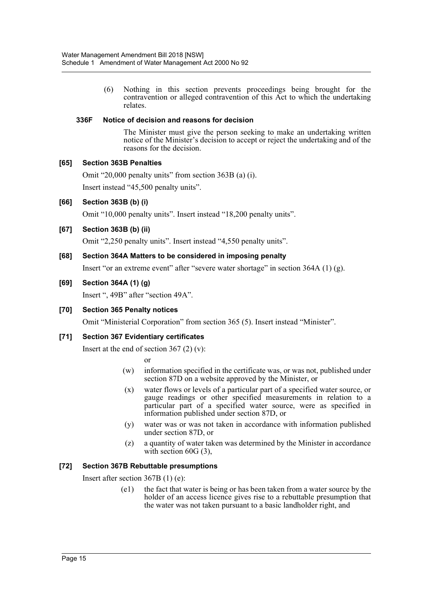(6) Nothing in this section prevents proceedings being brought for the contravention or alleged contravention of this Act to which the undertaking relates.

#### **336F Notice of decision and reasons for decision**

The Minister must give the person seeking to make an undertaking written notice of the Minister's decision to accept or reject the undertaking and of the reasons for the decision.

#### **[65] Section 363B Penalties**

Omit "20,000 penalty units" from section 363B (a) (i).

Insert instead "45,500 penalty units".

**[66] Section 363B (b) (i)**

Omit "10,000 penalty units". Insert instead "18,200 penalty units".

**[67] Section 363B (b) (ii)**

Omit "2,250 penalty units". Insert instead "4,550 penalty units".

**[68] Section 364A Matters to be considered in imposing penalty**

Insert "or an extreme event" after "severe water shortage" in section 364A (1) (g).

#### **[69] Section 364A (1) (g)**

Insert ", 49B" after "section 49A".

#### **[70] Section 365 Penalty notices**

Omit "Ministerial Corporation" from section 365 (5). Insert instead "Minister".

#### **[71] Section 367 Evidentiary certificates**

Insert at the end of section  $367(2)(v)$ :

or

- (w) information specified in the certificate was, or was not, published under section 87D on a website approved by the Minister, or
- (x) water flows or levels of a particular part of a specified water source, or gauge readings or other specified measurements in relation to a particular part of a specified water source, were as specified in information published under section 87D, or
- (y) water was or was not taken in accordance with information published under section 87D, or
- (z) a quantity of water taken was determined by the Minister in accordance with section 60G (3),

#### **[72] Section 367B Rebuttable presumptions**

Insert after section 367B (1) (e):

(e1) the fact that water is being or has been taken from a water source by the holder of an access licence gives rise to a rebuttable presumption that the water was not taken pursuant to a basic landholder right, and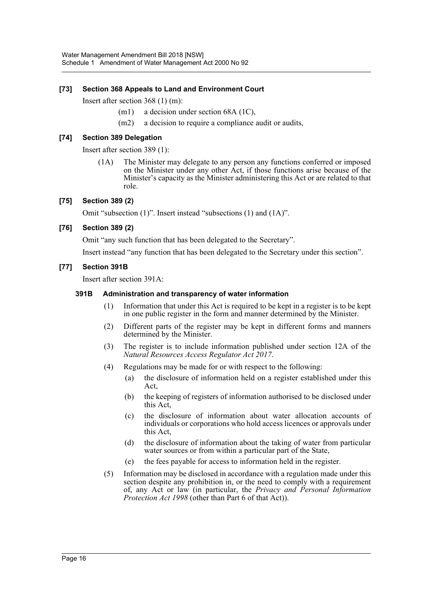#### **[73] Section 368 Appeals to Land and Environment Court**

Insert after section 368 (1) (m):

- (m1) a decision under section 68A (1C),
- (m2) a decision to require a compliance audit or audits,

#### **[74] Section 389 Delegation**

Insert after section 389 (1):

(1A) The Minister may delegate to any person any functions conferred or imposed on the Minister under any other Act, if those functions arise because of the Minister's capacity as the Minister administering this Act or are related to that role.

#### **[75] Section 389 (2)**

Omit "subsection (1)". Insert instead "subsections (1) and (1A)".

#### **[76] Section 389 (2)**

Omit "any such function that has been delegated to the Secretary".

Insert instead "any function that has been delegated to the Secretary under this section".

#### **[77] Section 391B**

Insert after section 391A:

#### **391B Administration and transparency of water information**

- (1) Information that under this Act is required to be kept in a register is to be kept in one public register in the form and manner determined by the Minister.
- (2) Different parts of the register may be kept in different forms and manners determined by the Minister.
- (3) The register is to include information published under section 12A of the *Natural Resources Access Regulator Act 2017*.
- (4) Regulations may be made for or with respect to the following:
	- (a) the disclosure of information held on a register established under this Act,
	- (b) the keeping of registers of information authorised to be disclosed under this Act,
	- (c) the disclosure of information about water allocation accounts of individuals or corporations who hold access licences or approvals under this Act,
	- (d) the disclosure of information about the taking of water from particular water sources or from within a particular part of the State,
	- (e) the fees payable for access to information held in the register.
- (5) Information may be disclosed in accordance with a regulation made under this section despite any prohibition in, or the need to comply with a requirement of, any Act or law (in particular, the *Privacy and Personal Information Protection Act 1998* (other than Part 6 of that Act)).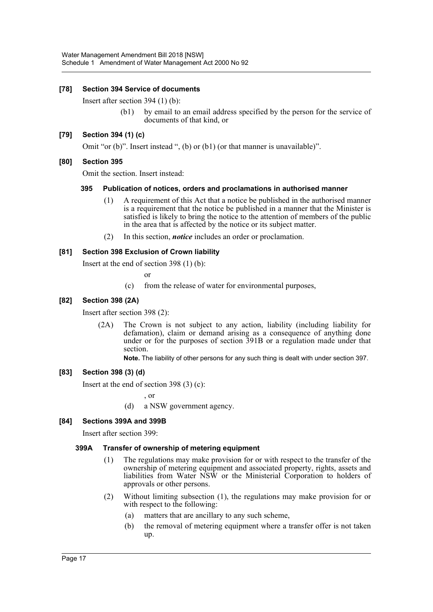#### **[78] Section 394 Service of documents**

Insert after section 394 (1) (b):

(b1) by email to an email address specified by the person for the service of documents of that kind, or

#### **[79] Section 394 (1) (c)**

Omit "or (b)". Insert instead ", (b) or (b1) (or that manner is unavailable)".

#### **[80] Section 395**

Omit the section. Insert instead:

#### **395 Publication of notices, orders and proclamations in authorised manner**

- (1) A requirement of this Act that a notice be published in the authorised manner is a requirement that the notice be published in a manner that the Minister is satisfied is likely to bring the notice to the attention of members of the public in the area that is affected by the notice or its subject matter.
- (2) In this section, *notice* includes an order or proclamation.

#### **[81] Section 398 Exclusion of Crown liability**

Insert at the end of section 398 (1) (b):

or

(c) from the release of water for environmental purposes,

#### **[82] Section 398 (2A)**

Insert after section 398 (2):

(2A) The Crown is not subject to any action, liability (including liability for defamation), claim or demand arising as a consequence of anything done under or for the purposes of section 391B or a regulation made under that section.

**Note.** The liability of other persons for any such thing is dealt with under section 397.

#### **[83] Section 398 (3) (d)**

Insert at the end of section 398 (3) (c):

, or

(d) a NSW government agency.

#### **[84] Sections 399A and 399B**

Insert after section 399:

#### **399A Transfer of ownership of metering equipment**

- (1) The regulations may make provision for or with respect to the transfer of the ownership of metering equipment and associated property, rights, assets and liabilities from Water NSW or the Ministerial Corporation to holders of approvals or other persons.
- (2) Without limiting subsection (1), the regulations may make provision for or with respect to the following:
	- (a) matters that are ancillary to any such scheme,
	- (b) the removal of metering equipment where a transfer offer is not taken up.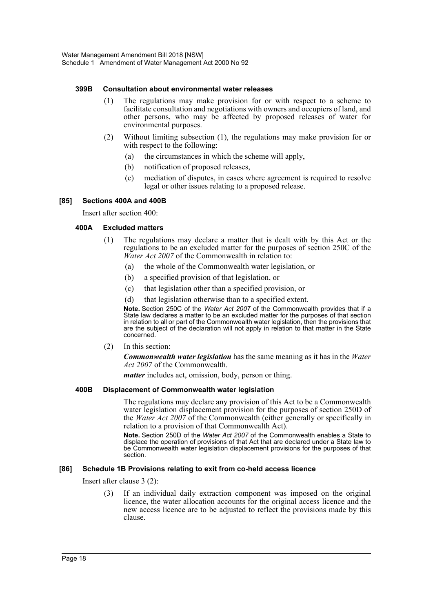#### **399B Consultation about environmental water releases**

- (1) The regulations may make provision for or with respect to a scheme to facilitate consultation and negotiations with owners and occupiers of land, and other persons, who may be affected by proposed releases of water for environmental purposes.
- (2) Without limiting subsection (1), the regulations may make provision for or with respect to the following:
	- (a) the circumstances in which the scheme will apply,
	- (b) notification of proposed releases,
	- (c) mediation of disputes, in cases where agreement is required to resolve legal or other issues relating to a proposed release.

#### **[85] Sections 400A and 400B**

Insert after section 400:

#### **400A Excluded matters**

- (1) The regulations may declare a matter that is dealt with by this Act or the regulations to be an excluded matter for the purposes of section 250C of the *Water Act 2007* of the Commonwealth in relation to:
	- (a) the whole of the Commonwealth water legislation, or
	- (b) a specified provision of that legislation, or
	- (c) that legislation other than a specified provision, or
	- (d) that legislation otherwise than to a specified extent.

**Note.** Section 250C of the *Water Act 2007* of the Commonwealth provides that if a State law declares a matter to be an excluded matter for the purposes of that section in relation to all or part of the Commonwealth water legislation, then the provisions that are the subject of the declaration will not apply in relation to that matter in the State concerned.

(2) In this section:

*Commonwealth water legislation* has the same meaning as it has in the *Water Act 2007* of the Commonwealth.

*matter* includes act, omission, body, person or thing.

#### **400B Displacement of Commonwealth water legislation**

The regulations may declare any provision of this Act to be a Commonwealth water legislation displacement provision for the purposes of section 250D of the *Water Act 2007* of the Commonwealth (either generally or specifically in relation to a provision of that Commonwealth Act).

**Note.** Section 250D of the *Water Act 2007* of the Commonwealth enables a State to displace the operation of provisions of that Act that are declared under a State law to be Commonwealth water legislation displacement provisions for the purposes of that section.

#### **[86] Schedule 1B Provisions relating to exit from co-held access licence**

Insert after clause 3 (2):

(3) If an individual daily extraction component was imposed on the original licence, the water allocation accounts for the original access licence and the new access licence are to be adjusted to reflect the provisions made by this clause.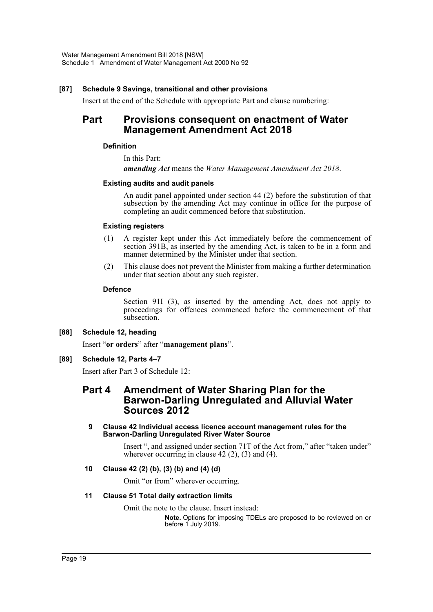#### **[87] Schedule 9 Savings, transitional and other provisions**

Insert at the end of the Schedule with appropriate Part and clause numbering:

# **Part Provisions consequent on enactment of Water Management Amendment Act 2018**

#### **Definition**

In this Part:

*amending Act* means the *Water Management Amendment Act 2018*.

#### **Existing audits and audit panels**

An audit panel appointed under section 44 (2) before the substitution of that subsection by the amending Act may continue in office for the purpose of completing an audit commenced before that substitution.

#### **Existing registers**

- (1) A register kept under this Act immediately before the commencement of section 391B, as inserted by the amending Act, is taken to be in a form and manner determined by the Minister under that section.
- (2) This clause does not prevent the Minister from making a further determination under that section about any such register.

#### **Defence**

Section 91I (3), as inserted by the amending Act, does not apply to proceedings for offences commenced before the commencement of that subsection.

#### **[88] Schedule 12, heading**

Insert "**or orders**" after "**management plans**".

#### **[89] Schedule 12, Parts 4–7**

Insert after Part 3 of Schedule 12:

# **Part 4 Amendment of Water Sharing Plan for the Barwon-Darling Unregulated and Alluvial Water Sources 2012**

#### **9 Clause 42 Individual access licence account management rules for the Barwon-Darling Unregulated River Water Source**

Insert ", and assigned under section 71T of the Act from," after "taken under" wherever occurring in clause  $42(2)$ ,  $(3)$  and  $(4)$ .

#### **10 Clause 42 (2) (b), (3) (b) and (4) (d)**

Omit "or from" wherever occurring.

#### **11 Clause 51 Total daily extraction limits**

Omit the note to the clause. Insert instead:

**Note.** Options for imposing TDELs are proposed to be reviewed on or before 1 July 2019.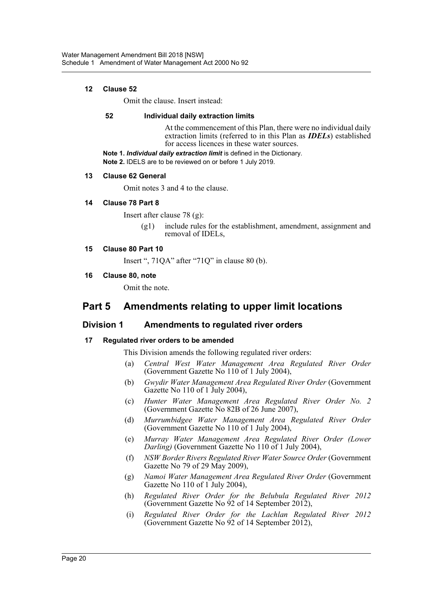#### **12 Clause 52**

Omit the clause. Insert instead:

#### **52 Individual daily extraction limits**

At the commencement of this Plan, there were no individual daily extraction limits (referred to in this Plan as *IDELs*) established for access licences in these water sources.

**Note 1.** *Individual daily extraction limit* is defined in the Dictionary.

**Note 2.** IDELS are to be reviewed on or before 1 July 2019.

#### **13 Clause 62 General**

Omit notes 3 and 4 to the clause.

#### **14 Clause 78 Part 8**

Insert after clause 78 (g):

(g1) include rules for the establishment, amendment, assignment and removal of IDELs,

#### **15 Clause 80 Part 10**

Insert ", 71QA" after "71Q" in clause 80 (b).

#### **16 Clause 80, note**

Omit the note.

# **Part 5 Amendments relating to upper limit locations**

## **Division 1 Amendments to regulated river orders**

#### **17 Regulated river orders to be amended**

This Division amends the following regulated river orders:

- (a) *Central West Water Management Area Regulated River Order* (Government Gazette No 110 of 1 July 2004),
- (b) *Gwydir Water Management Area Regulated River Order* (Government Gazette No 110 of 1 July 2004),
- (c) *Hunter Water Management Area Regulated River Order No. 2* (Government Gazette No 82B of 26 June 2007),
- (d) *Murrumbidgee Water Management Area Regulated River Order* (Government Gazette No 110 of 1 July 2004),
- (e) *Murray Water Management Area Regulated River Order (Lower Darling)* (Government Gazette No 110 of 1 July 2004),
- (f) *NSW Border Rivers Regulated River Water Source Order* (Government Gazette No 79 of 29 May 2009),
- (g) *Namoi Water Management Area Regulated River Order* (Government Gazette No 110 of 1 July 2004),
- (h) *Regulated River Order for the Belubula Regulated River 2012* (Government Gazette No 92 of 14 September 2012),
- (i) *Regulated River Order for the Lachlan Regulated River 2012* (Government Gazette No  $92$  of 14 September 2012),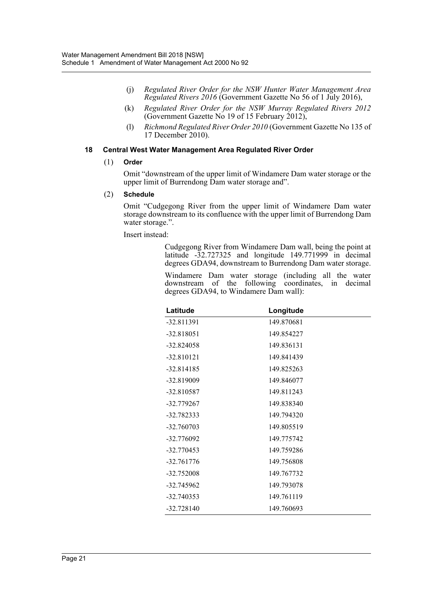- (j) *Regulated River Order for the NSW Hunter Water Management Area Regulated Rivers 2016* (Government Gazette No 56 of 1 July 2016),
- (k) *Regulated River Order for the NSW Murray Regulated Rivers 2012* (Government Gazette No 19 of 15 February 2012),
- (l) *Richmond Regulated River Order 2010* (Government Gazette No 135 of 17 December 2010).

#### **18 Central West Water Management Area Regulated River Order**

#### (1) **Order**

Omit "downstream of the upper limit of Windamere Dam water storage or the upper limit of Burrendong Dam water storage and".

#### (2) **Schedule**

Omit "Cudgegong River from the upper limit of Windamere Dam water storage downstream to its confluence with the upper limit of Burrendong Dam water storage.".

Insert instead:

Cudgegong River from Windamere Dam wall, being the point at latitude -32.727325 and longitude 149.771999 in decimal degrees GDA94, downstream to Burrendong Dam water storage.

Windamere Dam water storage (including all the water downstream of the following coordinates, in decimal degrees GDA94, to Windamere Dam wall):

| Latitude     | Longitude  |
|--------------|------------|
| $-32.811391$ | 149.870681 |
| $-32.818051$ | 149.854227 |
| $-32.824058$ | 149.836131 |
| $-32.810121$ | 149.841439 |
| $-32.814185$ | 149.825263 |
| $-32.819009$ | 149.846077 |
| $-32.810587$ | 149.811243 |
| -32.779267   | 149.838340 |
| -32.782333   | 149.794320 |
| $-32.760703$ | 149.805519 |
| -32.776092   | 149.775742 |
| $-32.770453$ | 149.759286 |
| $-32.761776$ | 149.756808 |
| $-32.752008$ | 149.767732 |
| -32.745962   | 149.793078 |
| $-32.740353$ | 149.761119 |
| $-32.728140$ | 149.760693 |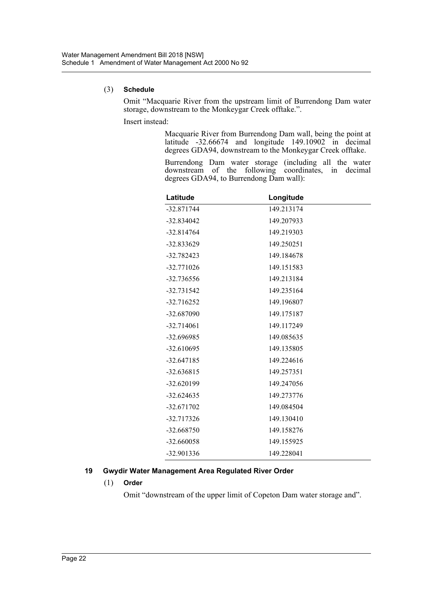#### (3) **Schedule**

Omit "Macquarie River from the upstream limit of Burrendong Dam water storage, downstream to the Monkeygar Creek offtake.".

Insert instead:

Macquarie River from Burrendong Dam wall, being the point at latitude -32.66674 and longitude 149.10902 in decimal degrees GDA94, downstream to the Monkeygar Creek offtake.

Burrendong Dam water storage (including all the water downstream of the following coordinates, in decimal degrees GDA94, to Burrendong Dam wall):

| Latitude     | Longitude  |
|--------------|------------|
| $-32.871744$ | 149.213174 |
| $-32.834042$ | 149.207933 |
| $-32.814764$ | 149.219303 |
| $-32.833629$ | 149.250251 |
| $-32.782423$ | 149.184678 |
| $-32.771026$ | 149.151583 |
| $-32.736556$ | 149.213184 |
| $-32.731542$ | 149.235164 |
| $-32.716252$ | 149.196807 |
| -32.687090   | 149.175187 |
| $-32.714061$ | 149.117249 |
| -32.696985   | 149.085635 |
| $-32.610695$ | 149.135805 |
| $-32.647185$ | 149.224616 |
| $-32.636815$ | 149.257351 |
| $-32.620199$ | 149.247056 |
| $-32.624635$ | 149.273776 |
| $-32.671702$ | 149.084504 |
| $-32.717326$ | 149.130410 |
| $-32.668750$ | 149.158276 |
| $-32.660058$ | 149.155925 |
| -32.901336   | 149.228041 |

#### **19 Gwydir Water Management Area Regulated River Order**

#### (1) **Order**

Omit "downstream of the upper limit of Copeton Dam water storage and".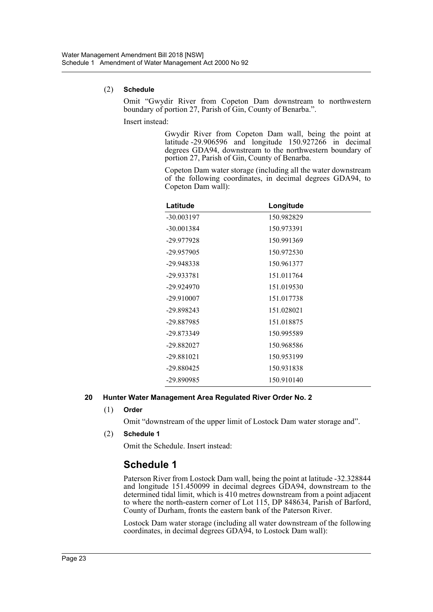#### (2) **Schedule**

Omit "Gwydir River from Copeton Dam downstream to northwestern boundary of portion 27, Parish of Gin, County of Benarba.".

Insert instead:

Gwydir River from Copeton Dam wall, being the point at latitude -29.906596 and longitude 150.927266 in decimal degrees GDA94, downstream to the northwestern boundary of portion 27, Parish of Gin, County of Benarba.

Copeton Dam water storage (including all the water downstream of the following coordinates, in decimal degrees GDA94, to Copeton Dam wall):

| Latitude     | Longitude  |
|--------------|------------|
| $-30.003197$ | 150.982829 |
| $-30.001384$ | 150.973391 |
| -29.977928   | 150.991369 |
| -29.957905   | 150.972530 |
| $-29.948338$ | 150.961377 |
| -29.933781   | 151.011764 |
| $-29.924970$ | 151.019530 |
| $-29.910007$ | 151.017738 |
| -29.898243   | 151.028021 |
| -29.887985   | 151.018875 |
| -29.873349   | 150.995589 |
| -29.882027   | 150.968586 |
| $-29.881021$ | 150.953199 |
| -29.880425   | 150.931838 |
| -29.890985   | 150.910140 |

#### **20 Hunter Water Management Area Regulated River Order No. 2**

(1) **Order**

Omit "downstream of the upper limit of Lostock Dam water storage and".

(2) **Schedule 1**

Omit the Schedule. Insert instead:

# **Schedule 1**

Paterson River from Lostock Dam wall, being the point at latitude -32.328844 and longitude 151.450099 in decimal degrees GDA94, downstream to the determined tidal limit, which is 410 metres downstream from a point adjacent to where the north-eastern corner of Lot 115, DP 848634, Parish of Barford, County of Durham, fronts the eastern bank of the Paterson River.

Lostock Dam water storage (including all water downstream of the following coordinates, in decimal degrees GDA94, to Lostock Dam wall):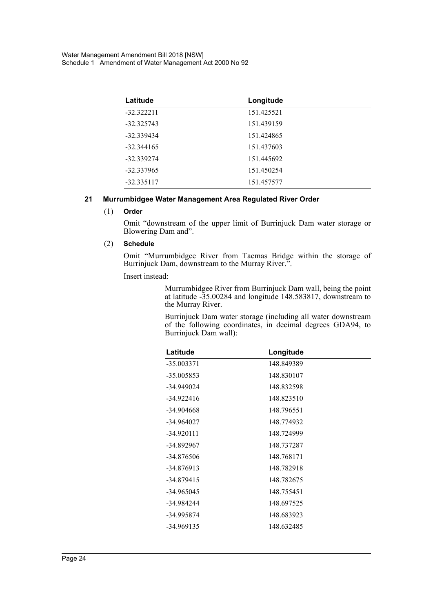| Latitude     | Longitude  |  |
|--------------|------------|--|
| $-32.322211$ | 151.425521 |  |
| $-32.325743$ | 151.439159 |  |
| -32.339434   | 151.424865 |  |
| $-32.344165$ | 151.437603 |  |
| $-32.339274$ | 151.445692 |  |
| $-32.337965$ | 151.450254 |  |
| $-32.335117$ | 151.457577 |  |

#### **21 Murrumbidgee Water Management Area Regulated River Order**

#### (1) **Order**

Omit "downstream of the upper limit of Burrinjuck Dam water storage or Blowering Dam and".

#### (2) **Schedule**

Omit "Murrumbidgee River from Taemas Bridge within the storage of Burrinjuck Dam, downstream to the Murray River.".

Insert instead:

Murrumbidgee River from Burrinjuck Dam wall, being the point at latitude -35.00284 and longitude 148.583817, downstream to the Murray River.

Burrinjuck Dam water storage (including all water downstream of the following coordinates, in decimal degrees GDA94, to Burrinjuck Dam wall):

| Latitude     | Longitude  |  |
|--------------|------------|--|
| $-35.003371$ | 148.849389 |  |
| $-35.005853$ | 148.830107 |  |
| -34.949024   | 148.832598 |  |
| $-34.922416$ | 148.823510 |  |
| -34.904668   | 148.796551 |  |
| -34.964027   | 148.774932 |  |
| -34.920111   | 148.724999 |  |
| -34.892967   | 148.737287 |  |
| -34.876506   | 148.768171 |  |
| -34.876913   | 148.782918 |  |
| -34.879415   | 148.782675 |  |
| -34.965045   | 148.755451 |  |
| -34.984244   | 148.697525 |  |
| -34.995874   | 148.683923 |  |
| -34.969135   | 148.632485 |  |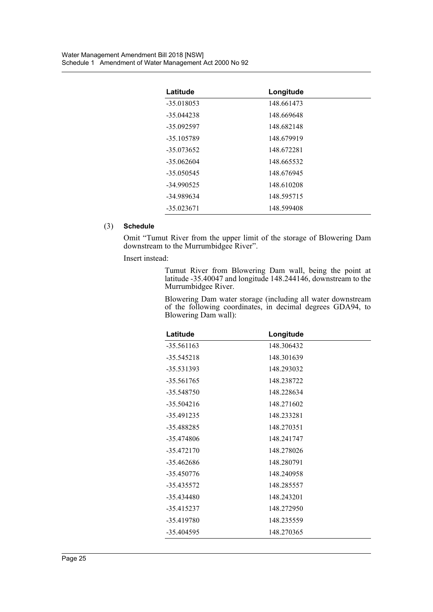| Latitude     | Longitude  |
|--------------|------------|
| $-35.018053$ | 148.661473 |
| $-35.044238$ | 148.669648 |
| $-35.092597$ | 148.682148 |
| -35.105789   | 148.679919 |
| $-35.073652$ | 148.672281 |
| $-35.062604$ | 148.665532 |
| $-35.050545$ | 148.676945 |
| $-34.990525$ | 148.610208 |
| -34.989634   | 148.595715 |
| $-35.023671$ | 148.599408 |

#### (3) **Schedule**

Omit "Tumut River from the upper limit of the storage of Blowering Dam downstream to the Murrumbidgee River".

Insert instead:

Tumut River from Blowering Dam wall, being the point at latitude -35.40047 and longitude 148.244146, downstream to the Murrumbidgee River.

Blowering Dam water storage (including all water downstream of the following coordinates, in decimal degrees GDA94, to Blowering Dam wall):

| Latitude     | Longitude  |
|--------------|------------|
| $-35.561163$ | 148.306432 |
| $-35.545218$ | 148.301639 |
| -35.531393   | 148.293032 |
| -35.561765   | 148.238722 |
| -35.548750   | 148.228634 |
| $-35.504216$ | 148.271602 |
| -35.491235   | 148.233281 |
| -35.488285   | 148.270351 |
| -35.474806   | 148.241747 |
| -35.472170   | 148.278026 |
| -35.462686   | 148.280791 |
| -35.450776   | 148.240958 |
| -35.435572   | 148.285557 |
| -35.434480   | 148.243201 |
| $-35.415237$ | 148.272950 |
| -35.419780   | 148.235559 |
| -35.404595   | 148.270365 |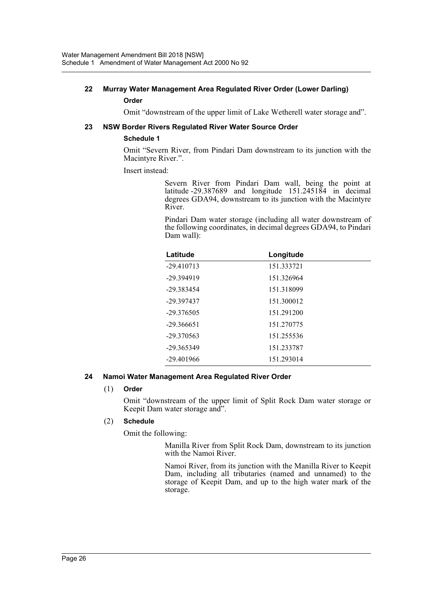#### **22 Murray Water Management Area Regulated River Order (Lower Darling) Order**

Omit "downstream of the upper limit of Lake Wetherell water storage and".

#### **23 NSW Border Rivers Regulated River Water Source Order**

#### **Schedule 1**

Omit "Severn River, from Pindari Dam downstream to its junction with the Macintyre River.".

Insert instead:

Severn River from Pindari Dam wall, being the point at latitude -29.387689 and longitude 151.245184 in decimal degrees GDA94, downstream to its junction with the Macintyre River.

Pindari Dam water storage (including all water downstream of the following coordinates, in decimal degrees GDA94, to Pindari Dam wall):

| Latitude     | Longitude  |
|--------------|------------|
| $-29.410713$ | 151.333721 |
| -29.394919   | 151.326964 |
| -29.383454   | 151.318099 |
| -29.397437   | 151.300012 |
| $-29.376505$ | 151.291200 |
| $-29.366651$ | 151.270775 |
| $-29.370563$ | 151.255536 |
| -29.365349   | 151.233787 |
| $-29.401966$ | 151.293014 |

#### **24 Namoi Water Management Area Regulated River Order**

#### (1) **Order**

Omit "downstream of the upper limit of Split Rock Dam water storage or Keepit Dam water storage and".

#### (2) **Schedule**

Omit the following:

Manilla River from Split Rock Dam, downstream to its junction with the Namoi River.

Namoi River, from its junction with the Manilla River to Keepit Dam, including all tributaries (named and unnamed) to the storage of Keepit Dam, and up to the high water mark of the storage.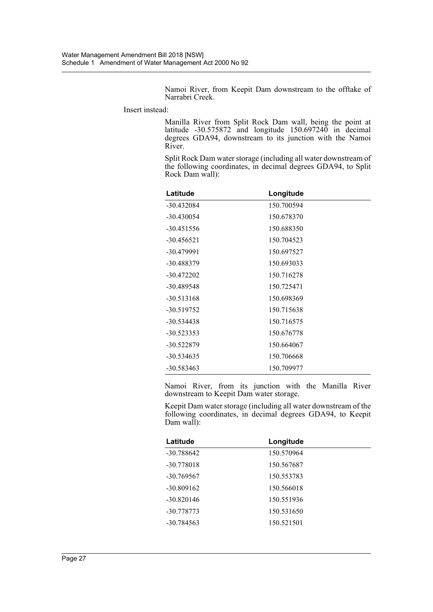Namoi River, from Keepit Dam downstream to the offtake of Narrabri Creek.

Insert instead:

Manilla River from Split Rock Dam wall, being the point at latitude -30.575872 and longitude 150.697240 in decimal degrees GDA94, downstream to its junction with the Namoi River.

Split Rock Dam water storage (including all water downstream of the following coordinates, in decimal degrees GDA94, to Split Rock Dam wall):

| Latitude     | Longitude  |
|--------------|------------|
| $-30.432084$ | 150.700594 |
| $-30.430054$ | 150.678370 |
| $-30.451556$ | 150.688350 |
| -30.456521   | 150.704523 |
| $-30.479991$ | 150.697527 |
| -30.488379   | 150.693033 |
| $-30.472202$ | 150.716278 |
| -30.489548   | 150.725471 |
| $-30.513168$ | 150.698369 |
| $-30.519752$ | 150.715638 |
| $-30.534438$ | 150.716575 |
| $-30.523353$ | 150.676778 |
| -30.522879   | 150.664067 |
| $-30.534635$ | 150.706668 |
| $-30.583463$ | 150.709977 |

Namoi River, from its junction with the Manilla River downstream to Keepit Dam water storage.

Keepit Dam water storage (including all water downstream of the following coordinates, in decimal degrees GDA94, to Keepit Dam wall):

| Latitude     | Longitude  |
|--------------|------------|
| -30.788642   | 150.570964 |
| $-30.778018$ | 150.567687 |
| $-30.769567$ | 150.553783 |
| $-30.809162$ | 150.566018 |
| $-30.820146$ | 150.551936 |
| -30.778773   | 150.531650 |
| $-30.784563$ | 150.521501 |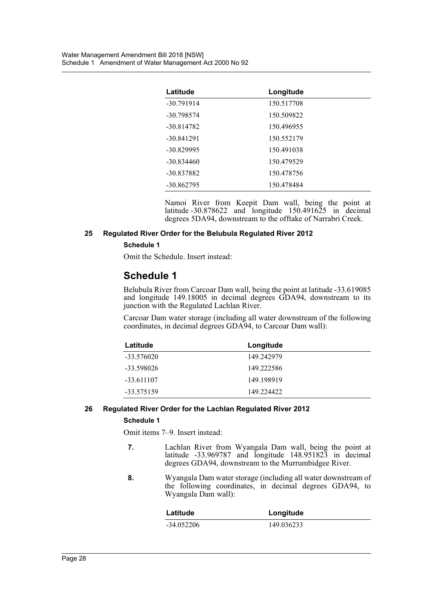| Latitude     | Longitude  |
|--------------|------------|
| $-30.791914$ | 150.517708 |
| $-30.798574$ | 150.509822 |
| $-30.814782$ | 150.496955 |
| $-30.841291$ | 150.552179 |
| $-30.829995$ | 150.491038 |
| $-30.834460$ | 150.479529 |
| -30.837882   | 150.478756 |
| $-30.862795$ | 150.478484 |

Namoi River from Keepit Dam wall, being the point at latitude  $-30.878622$  and longitude  $150.491625$  in decimal degrees 5DA94, downstream to the offtake of Narrabri Creek.

#### **25 Regulated River Order for the Belubula Regulated River 2012**

#### **Schedule 1**

Omit the Schedule. Insert instead:

# **Schedule 1**

Belubula River from Carcoar Dam wall, being the point at latitude -33.619085 and longitude 149.18005 in decimal degrees GDA94, downstream to its junction with the Regulated Lachlan River.

Carcoar Dam water storage (including all water downstream of the following coordinates, in decimal degrees GDA94, to Carcoar Dam wall):

| Latitude     | Longitude  |
|--------------|------------|
| -33.576020   | 149.242979 |
| -33.598026   | 149.222586 |
| $-33.611107$ | 149.198919 |
| $-33.575159$ | 149.224422 |

#### **26 Regulated River Order for the Lachlan Regulated River 2012**

#### **Schedule 1**

Omit items 7–9. Insert instead:

- **7.** Lachlan River from Wyangala Dam wall, being the point at latitude -33.969787 and longitude 148.951823 in decimal degrees GDA94, downstream to the Murrumbidgee River.
- **8.** Wyangala Dam water storage (including all water downstream of the following coordinates, in decimal degrees GDA94, to Wyangala Dam wall):

| Latitude     | Longitude  |
|--------------|------------|
| $-34.052206$ | 149.036233 |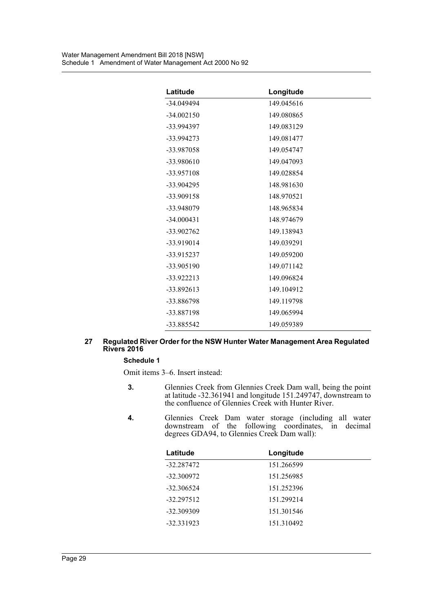| Latitude     | Longitude  |
|--------------|------------|
| $-34.049494$ | 149.045616 |
| $-34.002150$ | 149.080865 |
| -33.994397   | 149.083129 |
| -33.994273   | 149.081477 |
| -33.987058   | 149.054747 |
| -33.980610   | 149.047093 |
| -33.957108   | 149.028854 |
| -33.904295   | 148.981630 |
| -33.909158   | 148.970521 |
| -33.948079   | 148.965834 |
| $-34.000431$ | 148.974679 |
| $-33.902762$ | 149.138943 |
| -33.919014   | 149.039291 |
| -33.915237   | 149.059200 |
| -33.905190   | 149.071142 |
| $-33.922213$ | 149.096824 |
| $-33.892613$ | 149.104912 |
| -33.886798   | 149.119798 |
| -33.887198   | 149.065994 |
| -33.885542   | 149.059389 |

#### **27 Regulated River Order for the NSW Hunter Water Management Area Regulated Rivers 2016**

#### **Schedule 1**

Omit items 3–6. Insert instead:

- **3.** Glennies Creek from Glennies Creek Dam wall, being the point at latitude -32.361941 and longitude 151.249747, downstream to the confluence of Glennies Creek with Hunter River.
- **4.** Glennies Creek Dam water storage (including all water downstream of the following coordinates, in decimal degrees GDA94, to Glennies Creek Dam wall):

| Latitude     | Longitude  |
|--------------|------------|
| -32.287472   | 151.266599 |
| $-32.300972$ | 151.256985 |
| $-32.306524$ | 151.252396 |
| $-32.297512$ | 151.299214 |
| -32.309309   | 151.301546 |
| $-32.331923$ | 151.310492 |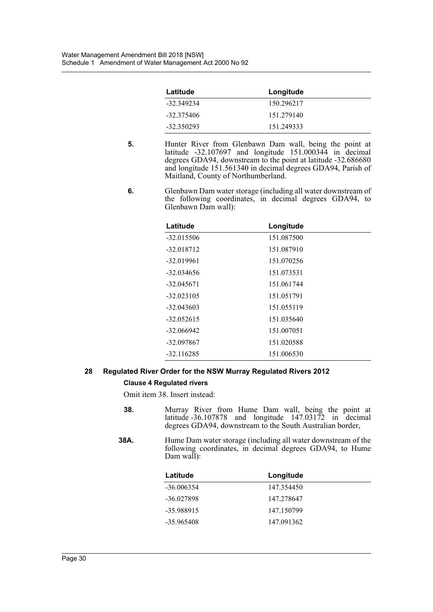| Latitude     | Longitude  |
|--------------|------------|
| -32.349234   | 150.296217 |
| -32.375406   | 151.279140 |
| $-32.350293$ | 151.249333 |

- **5.** Hunter River from Glenbawn Dam wall, being the point at latitude -32.107697 and longitude 151.000344 in decimal degrees GDA94, downstream to the point at latitude -32.686680 and longitude 151.561340 in decimal degrees GDA94, Parish of Maitland, County of Northumberland.
- **6.** Glenbawn Dam water storage (including all water downstream of the following coordinates, in decimal degrees GDA94, to Glenbawn Dam wall):

| Latitude     | Longitude  |
|--------------|------------|
| $-32.015506$ | 151.087500 |
| $-32.018712$ | 151.087910 |
| $-32.019961$ | 151.070256 |
| $-32.034656$ | 151.073531 |
| $-32.045671$ | 151.061744 |
| $-32.023105$ | 151.051791 |
| $-32.043603$ | 151.055119 |
| $-32.052615$ | 151.035640 |
| $-32.066942$ | 151.007051 |
| -32.097867   | 151.020588 |
| $-32.116285$ | 151.006530 |

## **28 Regulated River Order for the NSW Murray Regulated Rivers 2012**

#### **Clause 4 Regulated rivers**

Omit item 38. Insert instead:

- **38.** Murray River from Hume Dam wall, being the point at latitude -36.107878 and longitude 147.03172 in decimal degrees GDA94, downstream to the South Australian border,
- **38A.** Hume Dam water storage (including all water downstream of the following coordinates, in decimal degrees GDA94, to Hume Dam wall):

| Latitude     | Longitude  |
|--------------|------------|
| $-36.006354$ | 147.354450 |
| $-36.027898$ | 147.278647 |
| -35.988915   | 147.150799 |
| $-35.965408$ | 147.091362 |
|              |            |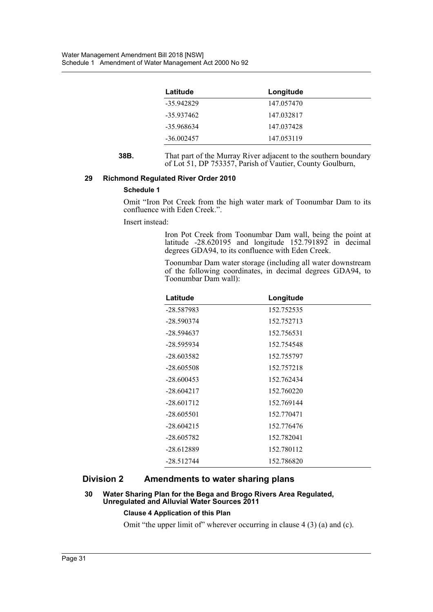| Latitude     | Longitude  |
|--------------|------------|
| -35.942829   | 147.057470 |
| -35.937462   | 147.032817 |
| -35.968634   | 147.037428 |
| $-36.002457$ | 147.053119 |

**38B.** That part of the Murray River adjacent to the southern boundary of Lot 51, DP 753357, Parish of Vautier, County Goulburn,

#### **29 Richmond Regulated River Order 2010**

#### **Schedule 1**

Omit "Iron Pot Creek from the high water mark of Toonumbar Dam to its confluence with Eden Creek.".

Insert instead:

Iron Pot Creek from Toonumbar Dam wall, being the point at latitude  $-28.620195$  and longitude  $152.791892$  in decimal degrees GDA94, to its confluence with Eden Creek.

Toonumbar Dam water storage (including all water downstream of the following coordinates, in decimal degrees GDA94, to Toonumbar Dam wall):

| Latitude     | Longitude  |
|--------------|------------|
| -28.587983   | 152.752535 |
| $-28.590374$ | 152.752713 |
| $-28.594637$ | 152.756531 |
| -28.595934   | 152.754548 |
| $-28.603582$ | 152.755797 |
| $-28.605508$ | 152.757218 |
| $-28.600453$ | 152.762434 |
| $-28.604217$ | 152.760220 |
| $-28.601712$ | 152.769144 |
| $-28.605501$ | 152.770471 |
| $-28.604215$ | 152.776476 |
| $-28.605782$ | 152.782041 |
| -28.612889   | 152.780112 |
| $-28.512744$ | 152.786820 |

#### **Division 2 Amendments to water sharing plans**

#### **30 Water Sharing Plan for the Bega and Brogo Rivers Area Regulated, Unregulated and Alluvial Water Sources 2011**

#### **Clause 4 Application of this Plan**

Omit "the upper limit of" wherever occurring in clause 4 (3) (a) and (c).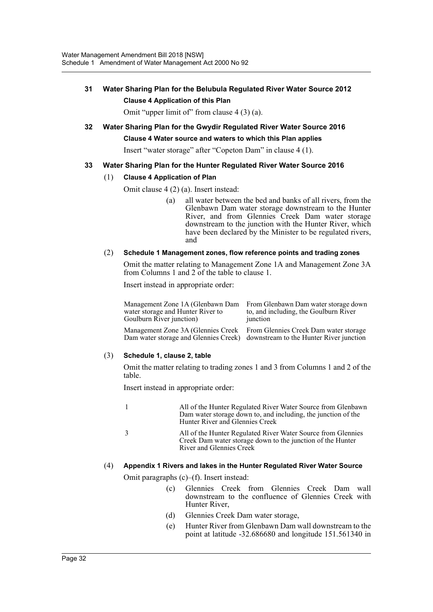### **31 Water Sharing Plan for the Belubula Regulated River Water Source 2012 Clause 4 Application of this Plan**

Omit "upper limit of" from clause 4 (3) (a).

### **32 Water Sharing Plan for the Gwydir Regulated River Water Source 2016 Clause 4 Water source and waters to which this Plan applies**

Insert "water storage" after "Copeton Dam" in clause 4 (1).

#### **33 Water Sharing Plan for the Hunter Regulated River Water Source 2016**

#### (1) **Clause 4 Application of Plan**

Omit clause 4 (2) (a). Insert instead:

(a) all water between the bed and banks of all rivers, from the Glenbawn Dam water storage downstream to the Hunter River, and from Glennies Creek Dam water storage downstream to the junction with the Hunter River, which have been declared by the Minister to be regulated rivers, and

#### (2) **Schedule 1 Management zones, flow reference points and trading zones**

Omit the matter relating to Management Zone 1A and Management Zone 3A from Columns 1 and 2 of the table to clause 1.

Insert instead in appropriate order:

Management Zone 1A (Glenbawn Dam water storage and Hunter River to Goulburn River junction) From Glenbawn Dam water storage down to, and including, the Goulburn River junction

Management Zone 3A (Glennies Creek Dam water storage and Glennies Creek) downstream to the Hunter River junction

From Glennies Creek Dam water storage

#### (3) **Schedule 1, clause 2, table**

Omit the matter relating to trading zones 1 and 3 from Columns 1 and 2 of the table.

Insert instead in appropriate order:

| All of the Hunter Regulated River Water Source from Glenbawn  |
|---------------------------------------------------------------|
| Dam water storage down to, and including, the junction of the |
| Hunter River and Glennies Creek                               |
|                                                               |

3 All of the Hunter Regulated River Water Source from Glennies Creek Dam water storage down to the junction of the Hunter River and Glennies Creek

#### (4) **Appendix 1 Rivers and lakes in the Hunter Regulated River Water Source**

Omit paragraphs (c)–(f). Insert instead:

- (c) Glennies Creek from Glennies Creek Dam wall downstream to the confluence of Glennies Creek with Hunter River,
- (d) Glennies Creek Dam water storage,
- (e) Hunter River from Glenbawn Dam wall downstream to the point at latitude -32.686680 and longitude 151.561340 in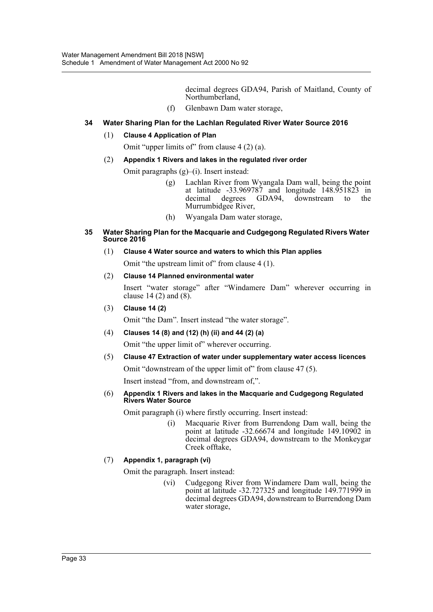decimal degrees GDA94, Parish of Maitland, County of Northumberland,

(f) Glenbawn Dam water storage,

#### **34 Water Sharing Plan for the Lachlan Regulated River Water Source 2016**

#### (1) **Clause 4 Application of Plan**

Omit "upper limits of" from clause 4 (2) (a).

#### (2) **Appendix 1 Rivers and lakes in the regulated river order**

Omit paragraphs (g)–(i). Insert instead:

- (g) Lachlan River from Wyangala Dam wall, being the point at latitude -33.969787 and longitude 148.951823 in decimal degrees GDA94, downstream to the Murrumbidgee River,
- (h) Wyangala Dam water storage,

#### **35 Water Sharing Plan for the Macquarie and Cudgegong Regulated Rivers Water Source 2016**

#### (1) **Clause 4 Water source and waters to which this Plan applies**

Omit "the upstream limit of" from clause 4 (1).

(2) **Clause 14 Planned environmental water**

Insert "water storage" after "Windamere Dam" wherever occurring in clause 14 (2) and (8).

(3) **Clause 14 (2)**

Omit "the Dam". Insert instead "the water storage".

(4) **Clauses 14 (8) and (12) (h) (ii) and 44 (2) (a)**

Omit "the upper limit of" wherever occurring.

(5) **Clause 47 Extraction of water under supplementary water access licences**

Omit "downstream of the upper limit of" from clause 47 (5).

Insert instead "from, and downstream of,".

#### (6) **Appendix 1 Rivers and lakes in the Macquarie and Cudgegong Regulated Rivers Water Source**

Omit paragraph (i) where firstly occurring. Insert instead:

(i) Macquarie River from Burrendong Dam wall, being the point at latitude -32.66674 and longitude 149.10902 in decimal degrees GDA94, downstream to the Monkeygar Creek offtake,

#### (7) **Appendix 1, paragraph (vi)**

Omit the paragraph. Insert instead:

(vi) Cudgegong River from Windamere Dam wall, being the point at latitude -32.727325 and longitude 149.771999 in decimal degrees GDA94, downstream to Burrendong Dam water storage,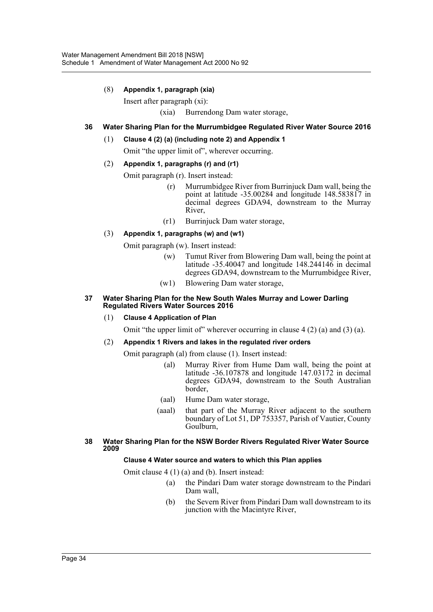#### (8) **Appendix 1, paragraph (xia)**

Insert after paragraph (xi):

(xia) Burrendong Dam water storage,

#### **36 Water Sharing Plan for the Murrumbidgee Regulated River Water Source 2016**

- (1) **Clause 4 (2) (a) (including note 2) and Appendix 1**
	- Omit "the upper limit of", wherever occurring.
- (2) **Appendix 1, paragraphs (r) and (r1)**
	- Omit paragraph (r). Insert instead:
		- (r) Murrumbidgee River from Burrinjuck Dam wall, being the point at latitude -35.00284 and longitude 148.583817 in decimal degrees GDA94, downstream to the Murray River,
		- (r1) Burrinjuck Dam water storage,

#### (3) **Appendix 1, paragraphs (w) and (w1)**

Omit paragraph (w). Insert instead:

- (w) Tumut River from Blowering Dam wall, being the point at latitude -35.40047 and longitude 148.244146 in decimal degrees GDA94, downstream to the Murrumbidgee River,
- (w1) Blowering Dam water storage,

#### **37 Water Sharing Plan for the New South Wales Murray and Lower Darling Regulated Rivers Water Sources 2016**

#### (1) **Clause 4 Application of Plan**

Omit "the upper limit of" wherever occurring in clause 4 (2) (a) and (3) (a).

#### (2) **Appendix 1 Rivers and lakes in the regulated river orders**

- Omit paragraph (al) from clause (1). Insert instead:
	- (al) Murray River from Hume Dam wall, being the point at latitude -36.107878 and longitude 147.03172 in decimal degrees GDA94, downstream to the South Australian border,
	- (aal) Hume Dam water storage,
	- (aaal) that part of the Murray River adjacent to the southern boundary of Lot 51, DP 753357, Parish of Vautier, County Goulburn,

#### **38 Water Sharing Plan for the NSW Border Rivers Regulated River Water Source 2009**

#### **Clause 4 Water source and waters to which this Plan applies**

Omit clause 4 (1) (a) and (b). Insert instead:

- (a) the Pindari Dam water storage downstream to the Pindari Dam wall,
- (b) the Severn River from Pindari Dam wall downstream to its junction with the Macintyre River,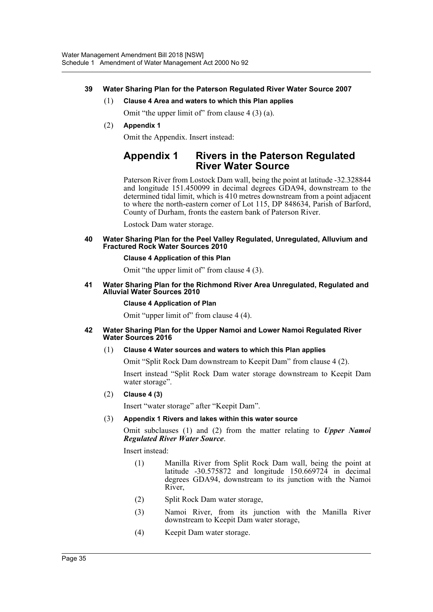#### **39 Water Sharing Plan for the Paterson Regulated River Water Source 2007**

(1) **Clause 4 Area and waters to which this Plan applies**

Omit "the upper limit of" from clause  $4(3)(a)$ .

(2) **Appendix 1**

Omit the Appendix. Insert instead:

## **Appendix 1 Rivers in the Paterson Regulated River Water Source**

Paterson River from Lostock Dam wall, being the point at latitude -32.328844 and longitude 151.450099 in decimal degrees GDA94, downstream to the determined tidal limit, which is 410 metres downstream from a point adjacent to where the north-eastern corner of Lot 115, DP 848634, Parish of Barford, County of Durham, fronts the eastern bank of Paterson River.

Lostock Dam water storage.

**40 Water Sharing Plan for the Peel Valley Regulated, Unregulated, Alluvium and Fractured Rock Water Sources 2010**

#### **Clause 4 Application of this Plan**

Omit "the upper limit of" from clause 4 (3).

#### **41 Water Sharing Plan for the Richmond River Area Unregulated, Regulated and Alluvial Water Sources 2010**

#### **Clause 4 Application of Plan**

Omit "upper limit of" from clause 4 (4).

#### **42 Water Sharing Plan for the Upper Namoi and Lower Namoi Regulated River Water Sources 2016**

#### (1) **Clause 4 Water sources and waters to which this Plan applies**

Omit "Split Rock Dam downstream to Keepit Dam" from clause 4 (2).

Insert instead "Split Rock Dam water storage downstream to Keepit Dam water storage".

#### (2) **Clause 4 (3)**

Insert "water storage" after "Keepit Dam".

(3) **Appendix 1 Rivers and lakes within this water source**

Omit subclauses (1) and (2) from the matter relating to *Upper Namoi Regulated River Water Source*.

Insert instead:

- (1) Manilla River from Split Rock Dam wall, being the point at latitude -30.575872 and longitude 150.669724 in decimal degrees GDA94, downstream to its junction with the Namoi River,
- (2) Split Rock Dam water storage,
- (3) Namoi River, from its junction with the Manilla River downstream to Keepit Dam water storage,
- (4) Keepit Dam water storage.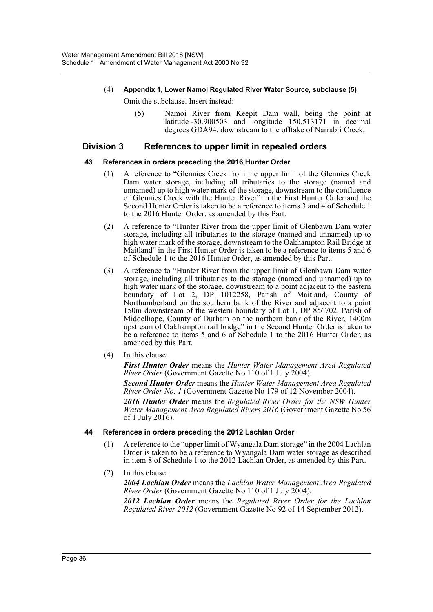## (4) **Appendix 1, Lower Namoi Regulated River Water Source, subclause (5)**

Omit the subclause. Insert instead:

(5) Namoi River from Keepit Dam wall, being the point at latitude  $-30.900503$  and longitude  $150.513171$  in decimal degrees GDA94, downstream to the offtake of Narrabri Creek,

#### **Division 3 References to upper limit in repealed orders**

#### **43 References in orders preceding the 2016 Hunter Order**

- (1) A reference to "Glennies Creek from the upper limit of the Glennies Creek Dam water storage, including all tributaries to the storage (named and unnamed) up to high water mark of the storage, downstream to the confluence of Glennies Creek with the Hunter River" in the First Hunter Order and the Second Hunter Order is taken to be a reference to items 3 and 4 of Schedule 1 to the 2016 Hunter Order, as amended by this Part.
- (2) A reference to "Hunter River from the upper limit of Glenbawn Dam water storage, including all tributaries to the storage (named and unnamed) up to high water mark of the storage, downstream to the Oakhampton Rail Bridge at Maitland" in the First Hunter Order is taken to be a reference to items 5 and 6 of Schedule 1 to the 2016 Hunter Order, as amended by this Part.
- (3) A reference to "Hunter River from the upper limit of Glenbawn Dam water storage, including all tributaries to the storage (named and unnamed) up to high water mark of the storage, downstream to a point adjacent to the eastern boundary of Lot 2, DP 1012258, Parish of Maitland, County of Northumberland on the southern bank of the River and adjacent to a point 150m downstream of the western boundary of Lot 1, DP 856702, Parish of Middelhope, County of Durham on the northern bank of the River, 1400m upstream of Oakhampton rail bridge" in the Second Hunter Order is taken to be a reference to items 5 and 6 of Schedule 1 to the 2016 Hunter Order, as amended by this Part.
- (4) In this clause:

*First Hunter Order* means the *Hunter Water Management Area Regulated River Order* (Government Gazette No 110 of 1 July 2004).

*Second Hunter Order* means the *Hunter Water Management Area Regulated River Order No. 1* (Government Gazette No 179 of 12 November 2004).

*2016 Hunter Order* means the *Regulated River Order for the NSW Hunter Water Management Area Regulated Rivers 2016* (Government Gazette No 56 of 1 July 2016).

#### **44 References in orders preceding the 2012 Lachlan Order**

- (1) A reference to the "upper limit of Wyangala Dam storage" in the 2004 Lachlan Order is taken to be a reference to Wyangala Dam water storage as described in item 8 of Schedule 1 to the 2012 Lachlan Order, as amended by this Part.
- (2) In this clause:

*2004 Lachlan Order* means the *Lachlan Water Management Area Regulated River Order* (Government Gazette No 110 of 1 July 2004).

*2012 Lachlan Order* means the *Regulated River Order for the Lachlan Regulated River 2012* (Government Gazette No 92 of 14 September 2012).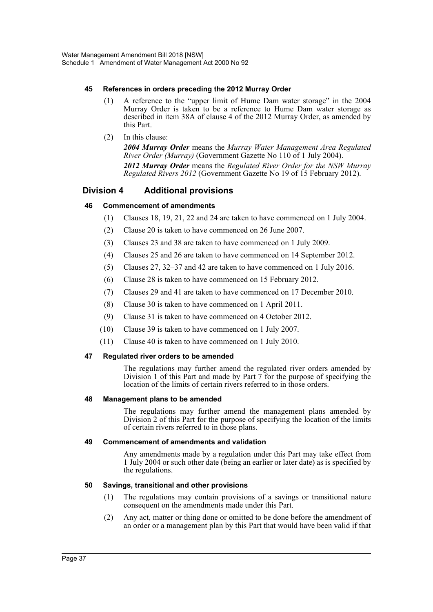#### **45 References in orders preceding the 2012 Murray Order**

- (1) A reference to the "upper limit of Hume Dam water storage" in the 2004 Murray Order is taken to be a reference to Hume Dam water storage as described in item 38A of clause 4 of the 2012 Murray Order, as amended by this Part.
- (2) In this clause: *2004 Murray Order* means the *Murray Water Management Area Regulated River Order (Murray)* (Government Gazette No 110 of 1 July 2004). *2012 Murray Order* means the *Regulated River Order for the NSW Murray Regulated Rivers 2012* (Government Gazette No 19 of 15 February 2012).

## **Division 4 Additional provisions**

#### **46 Commencement of amendments**

- (1) Clauses 18, 19, 21, 22 and 24 are taken to have commenced on 1 July 2004.
- (2) Clause 20 is taken to have commenced on 26 June 2007.
- (3) Clauses 23 and 38 are taken to have commenced on 1 July 2009.
- (4) Clauses 25 and 26 are taken to have commenced on 14 September 2012.
- (5) Clauses 27, 32–37 and 42 are taken to have commenced on 1 July 2016.
- (6) Clause 28 is taken to have commenced on 15 February 2012.
- (7) Clauses 29 and 41 are taken to have commenced on 17 December 2010.
- (8) Clause 30 is taken to have commenced on 1 April 2011.
- (9) Clause 31 is taken to have commenced on 4 October 2012.
- (10) Clause 39 is taken to have commenced on 1 July 2007.
- (11) Clause 40 is taken to have commenced on 1 July 2010.

#### **47 Regulated river orders to be amended**

The regulations may further amend the regulated river orders amended by Division 1 of this Part and made by Part 7 for the purpose of specifying the location of the limits of certain rivers referred to in those orders.

#### **48 Management plans to be amended**

The regulations may further amend the management plans amended by Division 2 of this Part for the purpose of specifying the location of the limits of certain rivers referred to in those plans.

#### **49 Commencement of amendments and validation**

Any amendments made by a regulation under this Part may take effect from 1 July 2004 or such other date (being an earlier or later date) as is specified by the regulations.

#### **50 Savings, transitional and other provisions**

- (1) The regulations may contain provisions of a savings or transitional nature consequent on the amendments made under this Part.
- (2) Any act, matter or thing done or omitted to be done before the amendment of an order or a management plan by this Part that would have been valid if that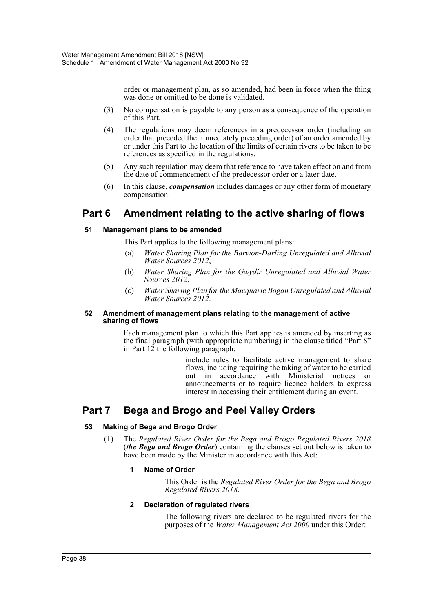order or management plan, as so amended, had been in force when the thing was done or omitted to be done is validated.

- (3) No compensation is payable to any person as a consequence of the operation of this Part.
- (4) The regulations may deem references in a predecessor order (including an order that preceded the immediately preceding order) of an order amended by or under this Part to the location of the limits of certain rivers to be taken to be references as specified in the regulations.
- (5) Any such regulation may deem that reference to have taken effect on and from the date of commencement of the predecessor order or a later date.
- (6) In this clause, *compensation* includes damages or any other form of monetary compensation.

# **Part 6 Amendment relating to the active sharing of flows**

#### **51 Management plans to be amended**

This Part applies to the following management plans:

- (a) *Water Sharing Plan for the Barwon-Darling Unregulated and Alluvial Water Sources 2012*,
- (b) *Water Sharing Plan for the Gwydir Unregulated and Alluvial Water Sources 2012*,
- (c) *Water Sharing Plan for the Macquarie Bogan Unregulated and Alluvial Water Sources 2012*.

#### **52 Amendment of management plans relating to the management of active sharing of flows**

Each management plan to which this Part applies is amended by inserting as the final paragraph (with appropriate numbering) in the clause titled "Part 8" in Part 12 the following paragraph:

> include rules to facilitate active management to share flows, including requiring the taking of water to be carried out in accordance with Ministerial notices or announcements or to require licence holders to express interest in accessing their entitlement during an event.

# **Part 7 Bega and Brogo and Peel Valley Orders**

#### **53 Making of Bega and Brogo Order**

(1) The *Regulated River Order for the Bega and Brogo Regulated Rivers 2018* (*the Bega and Brogo Order*) containing the clauses set out below is taken to have been made by the Minister in accordance with this Act:

#### **1 Name of Order**

This Order is the *Regulated River Order for the Bega and Brogo Regulated Rivers 2018*.

#### **2 Declaration of regulated rivers**

The following rivers are declared to be regulated rivers for the purposes of the *Water Management Act 2000* under this Order: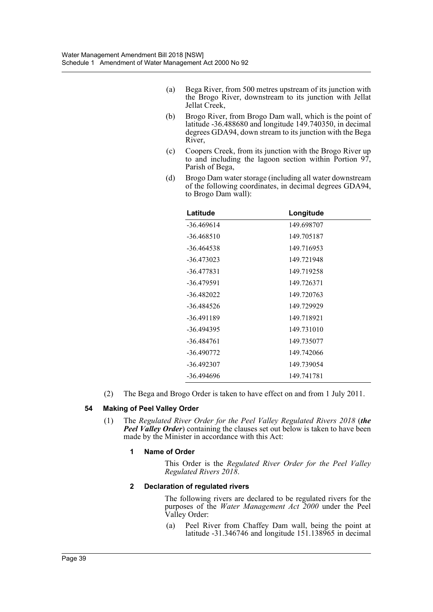- (a) Bega River, from 500 metres upstream of its junction with the Brogo River, downstream to its junction with Jellat Jellat Creek,
- (b) Brogo River, from Brogo Dam wall, which is the point of latitude -36.488680 and longitude 149.740350, in decimal degrees GDA94, down stream to its junction with the Bega River,
- (c) Coopers Creek, from its junction with the Brogo River up to and including the lagoon section within Portion 97, Parish of Bega,
- (d) Brogo Dam water storage (including all water downstream of the following coordinates, in decimal degrees GDA94, to Brogo Dam wall):

| Latitude     | Longitude  |
|--------------|------------|
| -36.469614   | 149.698707 |
| $-36.468510$ | 149.705187 |
| -36.464538   | 149.716953 |
| $-36.473023$ | 149.721948 |
| -36.477831   | 149.719258 |
| -36.479591   | 149.726371 |
| -36.482022   | 149.720763 |
| $-36.484526$ | 149.729929 |
| -36.491189   | 149.718921 |
| -36.494395   | 149.731010 |
| -36.484761   | 149.735077 |
| $-36.490772$ | 149.742066 |
| -36.492307   | 149.739054 |
| -36.494696   | 149.741781 |

(2) The Bega and Brogo Order is taken to have effect on and from 1 July 2011.

#### **54 Making of Peel Valley Order**

(1) The *Regulated River Order for the Peel Valley Regulated Rivers 2018* (*the Peel Valley Order*) containing the clauses set out below is taken to have been made by the Minister in accordance with this Act:

#### **1 Name of Order**

This Order is the *Regulated River Order for the Peel Valley Regulated Rivers 2018*.

#### **2 Declaration of regulated rivers**

The following rivers are declared to be regulated rivers for the purposes of the *Water Management Act 2000* under the Peel Valley Order:

(a) Peel River from Chaffey Dam wall, being the point at latitude -31.346746 and longitude 151.138965 in decimal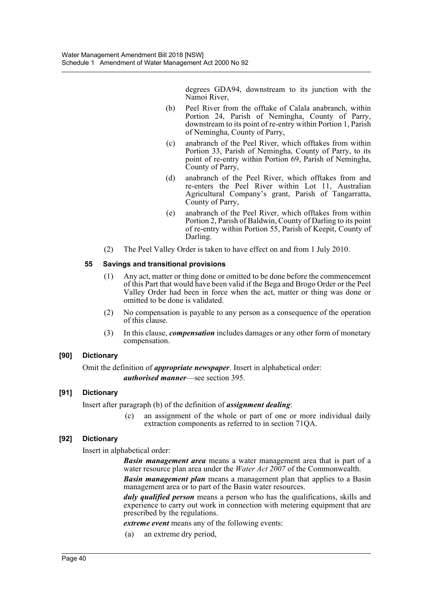degrees GDA94, downstream to its junction with the Namoi River,

- (b) Peel River from the offtake of Calala anabranch, within Portion 24, Parish of Nemingha, County of Parry, downstream to its point of re-entry within Portion 1, Parish of Nemingha, County of Parry,
- (c) anabranch of the Peel River, which offtakes from within Portion 33, Parish of Nemingha, County of Parry, to its point of re-entry within Portion 69, Parish of Nemingha, County of Parry,
- (d) anabranch of the Peel River, which offtakes from and re-enters the Peel River within Lot 11, Australian Agricultural Company's grant, Parish of Tangarratta, County of Parry,
- (e) anabranch of the Peel River, which offtakes from within Portion 2, Parish of Baldwin, County of Darling to its point of re-entry within Portion 55, Parish of Keepit, County of Darling.
- (2) The Peel Valley Order is taken to have effect on and from 1 July 2010.

#### **55 Savings and transitional provisions**

- (1) Any act, matter or thing done or omitted to be done before the commencement of this Part that would have been valid if the Bega and Brogo Order or the Peel Valley Order had been in force when the act, matter or thing was done or omitted to be done is validated.
- (2) No compensation is payable to any person as a consequence of the operation of this clause.
- (3) In this clause, *compensation* includes damages or any other form of monetary compensation.

#### **[90] Dictionary**

Omit the definition of *appropriate newspaper*. Insert in alphabetical order: *authorised manner*—see section 395.

#### **[91] Dictionary**

Insert after paragraph (b) of the definition of *assignment dealing*:

(c) an assignment of the whole or part of one or more individual daily extraction components as referred to in section 71QA.

#### **[92] Dictionary**

Insert in alphabetical order:

*Basin management area* means a water management area that is part of a water resource plan area under the *Water Act 2007* of the Commonwealth.

*Basin management plan* means a management plan that applies to a Basin management area or to part of the Basin water resources.

*duly qualified person* means a person who has the qualifications, skills and experience to carry out work in connection with metering equipment that are prescribed by the regulations.

*extreme event* means any of the following events:

(a) an extreme dry period,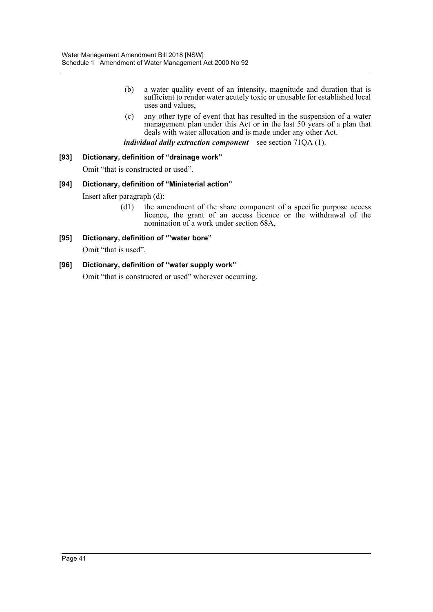- (b) a water quality event of an intensity, magnitude and duration that is sufficient to render water acutely toxic or unusable for established local uses and values,
- (c) any other type of event that has resulted in the suspension of a water management plan under this Act or in the last 50 years of a plan that deals with water allocation and is made under any other Act.

*individual daily extraction component*—see section 71QA (1).

#### **[93] Dictionary, definition of "drainage work"**

Omit "that is constructed or used".

#### **[94] Dictionary, definition of "Ministerial action"**

Insert after paragraph (d):

(d1) the amendment of the share component of a specific purpose access licence, the grant of an access licence or the withdrawal of the nomination of a work under section 68A,

#### **[95] Dictionary, definition of '"water bore"**

Omit "that is used".

#### **[96] Dictionary, definition of "water supply work"**

Omit "that is constructed or used" wherever occurring.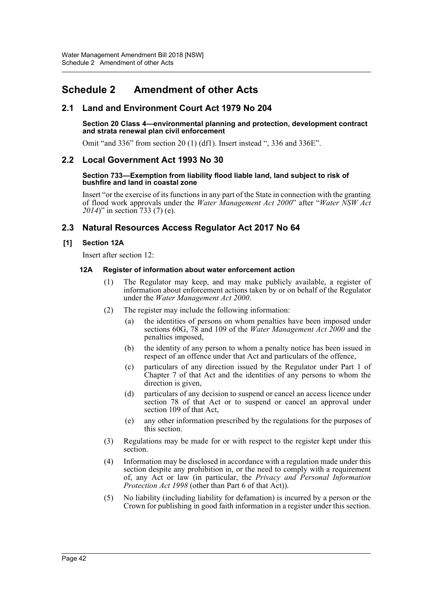# <span id="page-42-0"></span>**Schedule 2 Amendment of other Acts**

## **2.1 Land and Environment Court Act 1979 No 204**

#### **Section 20 Class 4—environmental planning and protection, development contract and strata renewal plan civil enforcement**

Omit "and 336" from section 20 (1) (df1). Insert instead ", 336 and 336E".

## **2.2 Local Government Act 1993 No 30**

#### **Section 733—Exemption from liability flood liable land, land subject to risk of bushfire and land in coastal zone**

Insert "or the exercise of its functions in any part of the State in connection with the granting of flood work approvals under the *Water Management Act 2000*" after "*Water NSW Act 2014*)" in section 733 (7) (e).

## **2.3 Natural Resources Access Regulator Act 2017 No 64**

#### **[1] Section 12A**

Insert after section 12:

#### **12A Register of information about water enforcement action**

- (1) The Regulator may keep, and may make publicly available, a register of information about enforcement actions taken by or on behalf of the Regulator under the *Water Management Act 2000*.
- (2) The register may include the following information:
	- (a) the identities of persons on whom penalties have been imposed under sections 60G, 78 and 109 of the *Water Management Act 2000* and the penalties imposed,
	- (b) the identity of any person to whom a penalty notice has been issued in respect of an offence under that Act and particulars of the offence,
	- (c) particulars of any direction issued by the Regulator under Part 1 of Chapter 7 of that Act and the identities of any persons to whom the direction is given,
	- (d) particulars of any decision to suspend or cancel an access licence under section 78 of that Act or to suspend or cancel an approval under section 109 of that Act,
	- (e) any other information prescribed by the regulations for the purposes of this section.
- (3) Regulations may be made for or with respect to the register kept under this section.
- (4) Information may be disclosed in accordance with a regulation made under this section despite any prohibition in, or the need to comply with a requirement of, any Act or law (in particular, the *Privacy and Personal Information Protection Act 1998* (other than Part 6 of that Act)).
- (5) No liability (including liability for defamation) is incurred by a person or the Crown for publishing in good faith information in a register under this section.